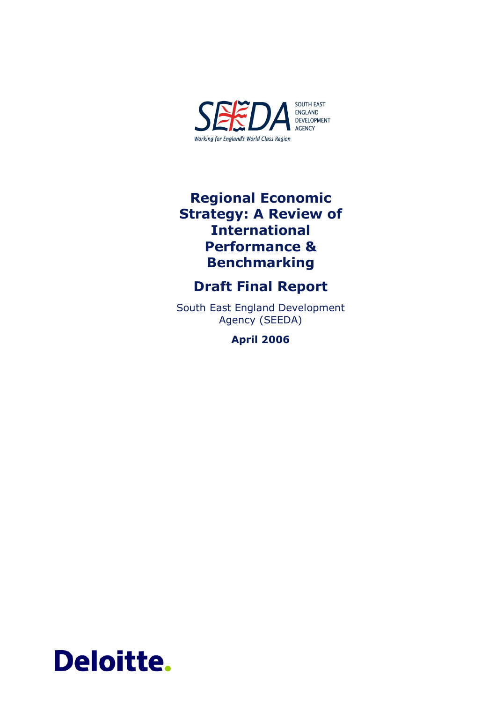

## Regional Economic Strategy: A Review of International Performance & Benchmarking

## Draft Final Report

South East England Development Agency (SEEDA)

April 2006

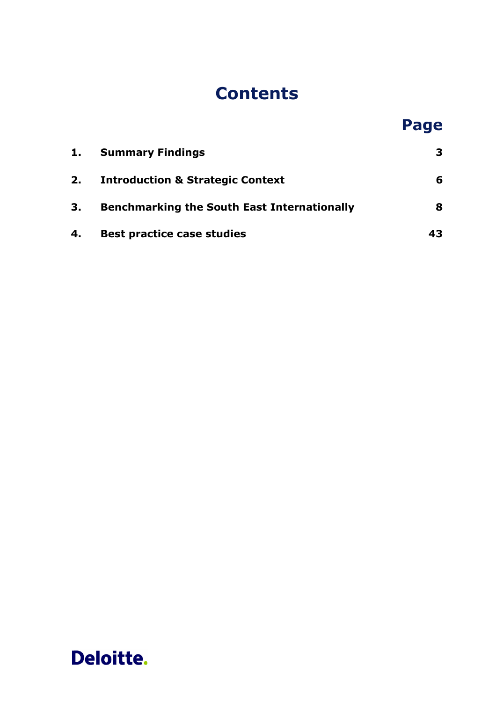# **Contents**

# Page

| 1. | <b>Summary Findings</b>                            | 3.  |
|----|----------------------------------------------------|-----|
|    | 2. Introduction & Strategic Context                | 6   |
| 3. | <b>Benchmarking the South East Internationally</b> | 8   |
| 4. | <b>Best practice case studies</b>                  | 43. |

# Deloitte.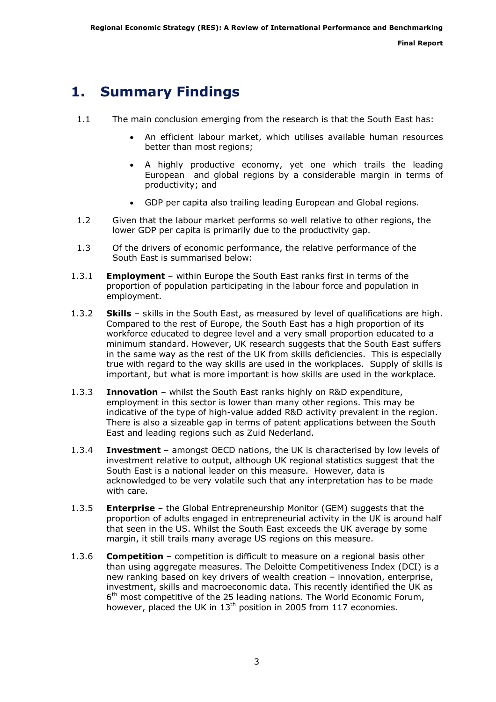## <span id="page-2-0"></span>1. Summary Findings

- 1.1 The main conclusion emerging from the research is that the South East has:
	- An efficient labour market, which utilises available human resources better than most regions;
	- A highly productive economy, yet one which trails the leading European and global regions by a considerable margin in terms of productivity; and
	- GDP per capita also trailing leading European and Global regions.
- 1.2 Given that the labour market performs so well relative to other regions, the lower GDP per capita is primarily due to the productivity gap.
- 1.3 Of the drivers of economic performance, the relative performance of the South East is summarised below:
- 1.3.1 **Employment** within Europe the South East ranks first in terms of the proportion of population participating in the labour force and population in employment.
- 1.3.2 Skills skills in the South East, as measured by level of qualifications are high. Compared to the rest of Europe, the South East has a high proportion of its workforce educated to degree level and a very small proportion educated to a minimum standard. However, UK research suggests that the South East suffers in the same way as the rest of the UK from skills deficiencies. This is especially true with regard to the way skills are used in the workplaces. Supply of skills is important, but what is more important is how skills are used in the workplace.
- 1.3.3 Innovation whilst the South East ranks highly on R&D expenditure, employment in this sector is lower than many other regions. This may be indicative of the type of high-value added R&D activity prevalent in the region. There is also a sizeable gap in terms of patent applications between the South East and leading regions such as Zuid Nederland.
- 1.3.4 Investment amongst OECD nations, the UK is characterised by low levels of investment relative to output, although UK regional statistics suggest that the South East is a national leader on this measure. However, data is acknowledged to be very volatile such that any interpretation has to be made with care.
- 1.3.5 **Enterprise** the Global Entrepreneurship Monitor (GEM) suggests that the proportion of adults engaged in entrepreneurial activity in the UK is around half that seen in the US. Whilst the South East exceeds the UK average by some margin, it still trails many average US regions on this measure.
- 1.3.6 **Competition** competition is difficult to measure on a regional basis other than using aggregate measures. The Deloitte Competitiveness Index (DCI) is a new ranking based on key drivers of wealth creation – innovation, enterprise, investment, skills and macroeconomic data. This recently identified the UK as  $6<sup>th</sup>$  most competitive of the 25 leading nations. The World Economic Forum, however, placed the UK in 13<sup>th</sup> position in 2005 from 117 economies.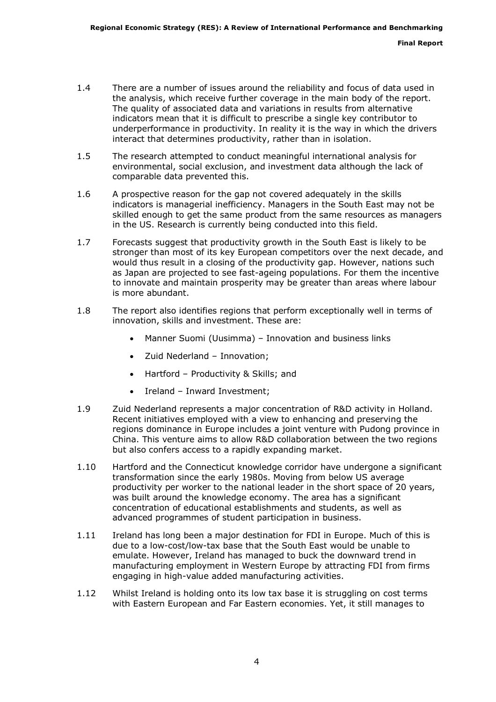- 1.4 There are a number of issues around the reliability and focus of data used in the analysis, which receive further coverage in the main body of the report. The quality of associated data and variations in results from alternative indicators mean that it is difficult to prescribe a single key contributor to underperformance in productivity. In reality it is the way in which the drivers interact that determines productivity, rather than in isolation.
- 1.5 The research attempted to conduct meaningful international analysis for environmental, social exclusion, and investment data although the lack of comparable data prevented this.
- 1.6 A prospective reason for the gap not covered adequately in the skills indicators is managerial inefficiency. Managers in the South East may not be skilled enough to get the same product from the same resources as managers in the US. Research is currently being conducted into this field.
- 1.7 Forecasts suggest that productivity growth in the South East is likely to be stronger than most of its key European competitors over the next decade, and would thus result in a closing of the productivity gap. However, nations such as Japan are projected to see fast-ageing populations. For them the incentive to innovate and maintain prosperity may be greater than areas where labour is more abundant.
- 1.8 The report also identifies regions that perform exceptionally well in terms of innovation, skills and investment. These are:
	- Manner Suomi (Uusimma) Innovation and business links
	- Zuid Nederland Innovation;
	- Hartford Productivity & Skills; and
	- Ireland Inward Investment;
- 1.9 Zuid Nederland represents a major concentration of R&D activity in Holland. Recent initiatives employed with a view to enhancing and preserving the regions dominance in Europe includes a joint venture with Pudong province in China. This venture aims to allow R&D collaboration between the two regions but also confers access to a rapidly expanding market.
- 1.10 Hartford and the Connecticut knowledge corridor have undergone a significant transformation since the early 1980s. Moving from below US average productivity per worker to the national leader in the short space of 20 years, was built around the knowledge economy. The area has a significant concentration of educational establishments and students, as well as advanced programmes of student participation in business.
- 1.11 Ireland has long been a major destination for FDI in Europe. Much of this is due to a low-cost/low-tax base that the South East would be unable to emulate. However, Ireland has managed to buck the downward trend in manufacturing employment in Western Europe by attracting FDI from firms engaging in high-value added manufacturing activities.
- 1.12 Whilst Ireland is holding onto its low tax base it is struggling on cost terms with Eastern European and Far Eastern economies. Yet, it still manages to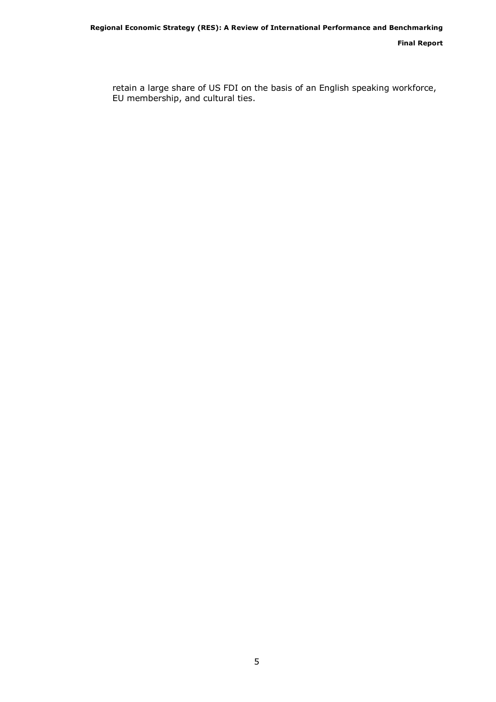Final Report

retain a large share of US FDI on the basis of an English speaking workforce, EU membership, and cultural ties.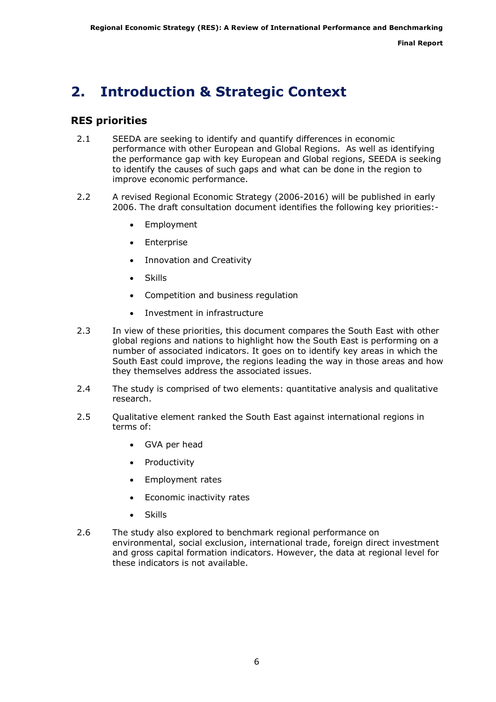## <span id="page-5-0"></span>2. Introduction & Strategic Context

## RES priorities

- 2.1 SEEDA are seeking to identify and quantify differences in economic performance with other European and Global Regions. As well as identifying the performance gap with key European and Global regions, SEEDA is seeking to identify the causes of such gaps and what can be done in the region to improve economic performance.
- 2.2 A revised Regional Economic Strategy (2006-2016) will be published in early 2006. The draft consultation document identifies the following key priorities:-
	- **Employment**
	- Enterprise
	- Innovation and Creativity
	- Skills
	- Competition and business regulation
	- Investment in infrastructure
- 2.3 In view of these priorities, this document compares the South East with other global regions and nations to highlight how the South East is performing on a number of associated indicators. It goes on to identify key areas in which the South East could improve, the regions leading the way in those areas and how they themselves address the associated issues.
- 2.4 The study is comprised of two elements: quantitative analysis and qualitative research.
- 2.5 Qualitative element ranked the South East against international regions in terms of:
	- GVA per head
	- Productivity
	- Employment rates
	- Economic inactivity rates
	- **Skills**
- 2.6 The study also explored to benchmark regional performance on environmental, social exclusion, international trade, foreign direct investment and gross capital formation indicators. However, the data at regional level for these indicators is not available.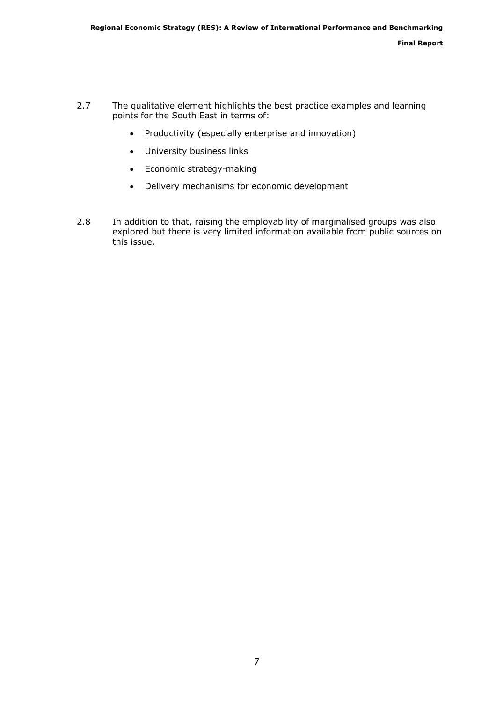- 2.7 The qualitative element highlights the best practice examples and learning points for the South East in terms of:
	- Productivity (especially enterprise and innovation)
	- University business links
	- Economic strategy-making
	- Delivery mechanisms for economic development
- 2.8 In addition to that, raising the employability of marginalised groups was also explored but there is very limited information available from public sources on this issue.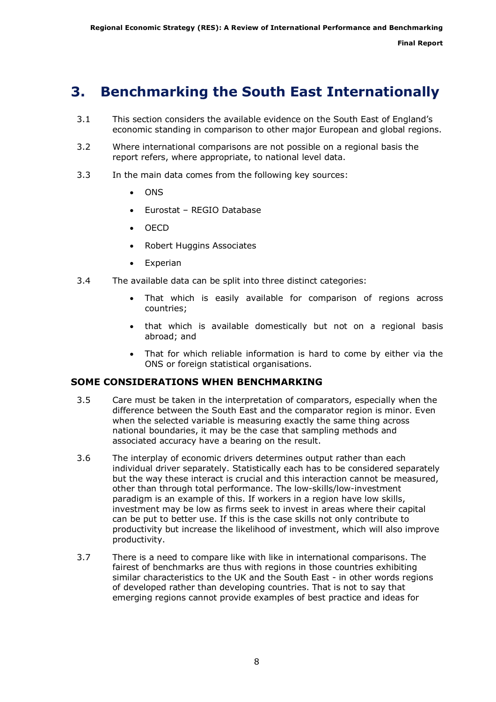## <span id="page-7-0"></span>3. Benchmarking the South East Internationally

- 3.1 This section considers the available evidence on the South East of England's economic standing in comparison to other major European and global regions.
- 3.2 Where international comparisons are not possible on a regional basis the report refers, where appropriate, to national level data.
- 3.3 In the main data comes from the following key sources:
	- ONS
	- Eurostat REGIO Database
	- OECD
	- Robert Huggins Associates
	- Experian
- 3.4 The available data can be split into three distinct categories:
	- That which is easily available for comparison of regions across countries;
	- that which is available domestically but not on a regional basis abroad; and
	- That for which reliable information is hard to come by either via the ONS or foreign statistical organisations.

## SOME CONSIDERATIONS WHEN BENCHMARKING

- 3.5 Care must be taken in the interpretation of comparators, especially when the difference between the South East and the comparator region is minor. Even when the selected variable is measuring exactly the same thing across national boundaries, it may be the case that sampling methods and associated accuracy have a bearing on the result.
- 3.6 The interplay of economic drivers determines output rather than each individual driver separately. Statistically each has to be considered separately but the way these interact is crucial and this interaction cannot be measured, other than through total performance. The low-skills/low-investment paradigm is an example of this. If workers in a region have low skills, investment may be low as firms seek to invest in areas where their capital can be put to better use. If this is the case skills not only contribute to productivity but increase the likelihood of investment, which will also improve productivity.
- 3.7 There is a need to compare like with like in international comparisons. The fairest of benchmarks are thus with regions in those countries exhibiting similar characteristics to the UK and the South East - in other words regions of developed rather than developing countries. That is not to say that emerging regions cannot provide examples of best practice and ideas for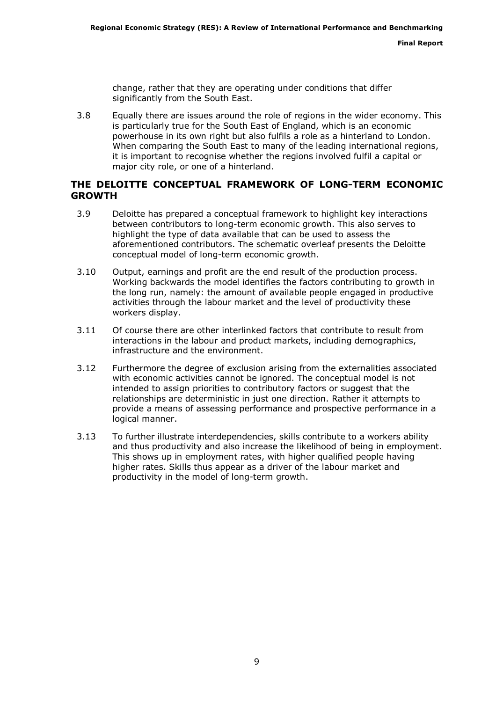change, rather that they are operating under conditions that differ significantly from the South East.

3.8 Equally there are issues around the role of regions in the wider economy. This is particularly true for the South East of England, which is an economic powerhouse in its own right but also fulfils a role as a hinterland to London. When comparing the South East to many of the leading international regions, it is important to recognise whether the regions involved fulfil a capital or major city role, or one of a hinterland.

## THE DELOITTE CONCEPTUAL FRAMEWORK OF LONG-TERM ECONOMIC GROWTH

- 3.9 Deloitte has prepared a conceptual framework to highlight key interactions between contributors to long-term economic growth. This also serves to highlight the type of data available that can be used to assess the aforementioned contributors. The schematic overleaf presents the Deloitte conceptual model of long-term economic growth.
- 3.10 Output, earnings and profit are the end result of the production process. Working backwards the model identifies the factors contributing to growth in the long run, namely: the amount of available people engaged in productive activities through the labour market and the level of productivity these workers display.
- 3.11 Of course there are other interlinked factors that contribute to result from interactions in the labour and product markets, including demographics, infrastructure and the environment.
- 3.12 Furthermore the degree of exclusion arising from the externalities associated with economic activities cannot be ignored. The conceptual model is not intended to assign priorities to contributory factors or suggest that the relationships are deterministic in just one direction. Rather it attempts to provide a means of assessing performance and prospective performance in a logical manner.
- 3.13 To further illustrate interdependencies, skills contribute to a workers ability and thus productivity and also increase the likelihood of being in employment. This shows up in employment rates, with higher qualified people having higher rates. Skills thus appear as a driver of the labour market and productivity in the model of long-term growth.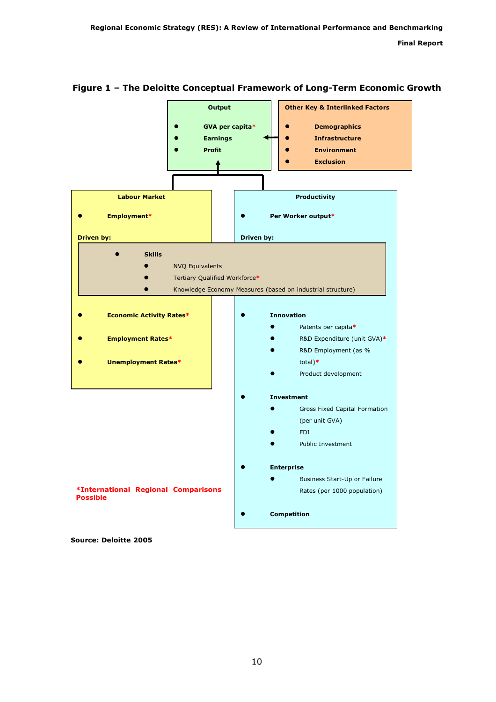

## Figure 1 – The Deloitte Conceptual Framework of Long-Term Economic Growth

Source: Deloitte 2005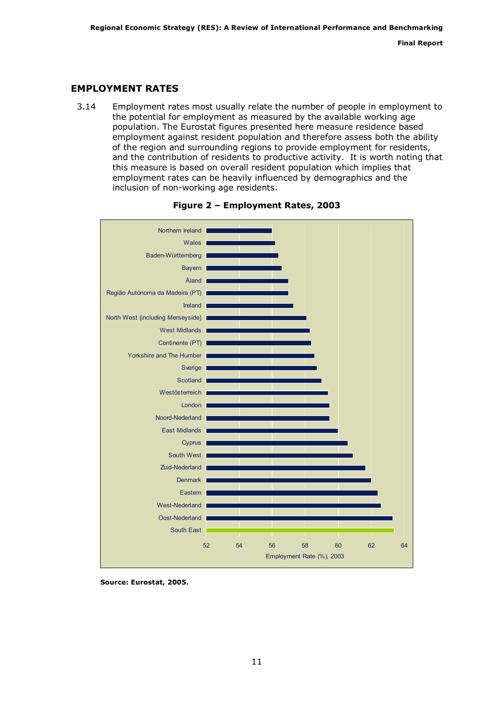## EMPLOYMENT RATES

3.14 Employment rates most usually relate the number of people in employment to the potential for employment as measured by the available working age population. The Eurostat figures presented here measure residence based employment against resident population and therefore assess both the ability of the region and surrounding regions to provide employment for residents, and the contribution of residents to productive activity. It is worth noting that this measure is based on overall resident population which implies that employment rates can be heavily influenced by demographics and the inclusion of non-working age residents.





Source: Eurostat, 2005.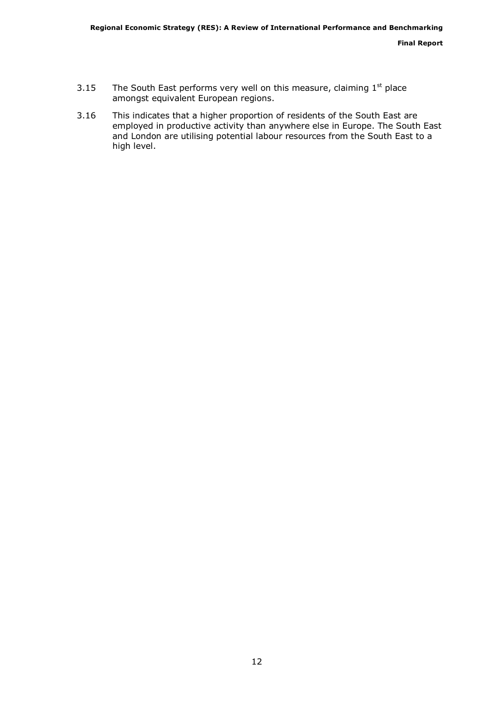- 3.15 The South East performs very well on this measure, claiming  $1<sup>st</sup>$  place amongst equivalent European regions.
- 3.16 This indicates that a higher proportion of residents of the South East are employed in productive activity than anywhere else in Europe. The South East and London are utilising potential labour resources from the South East to a high level.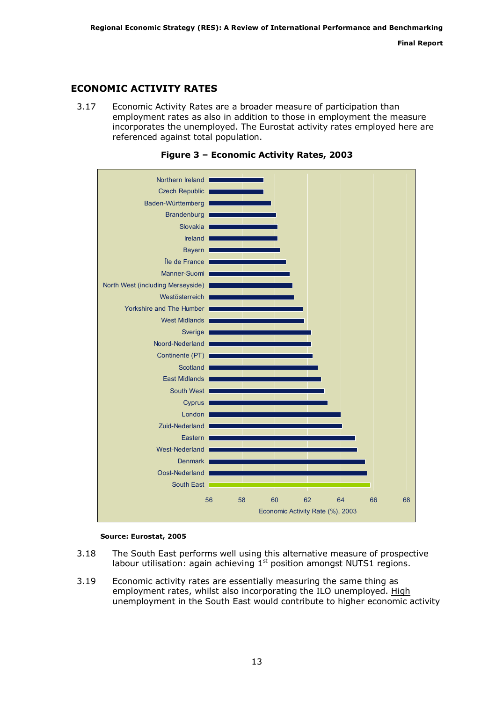Final Report

## ECONOMIC ACTIVITY RATES

3.17 Economic Activity Rates are a broader measure of participation than employment rates as also in addition to those in employment the measure incorporates the unemployed. The Eurostat activity rates employed here are referenced against total population.





#### Source: Eurostat, 2005

- 3.18 The South East performs well using this alternative measure of prospective labour utilisation: again achieving  $1<sup>st</sup>$  position amongst NUTS1 regions.
- 3.19 Economic activity rates are essentially measuring the same thing as employment rates, whilst also incorporating the ILO unemployed. High unemployment in the South East would contribute to higher economic activity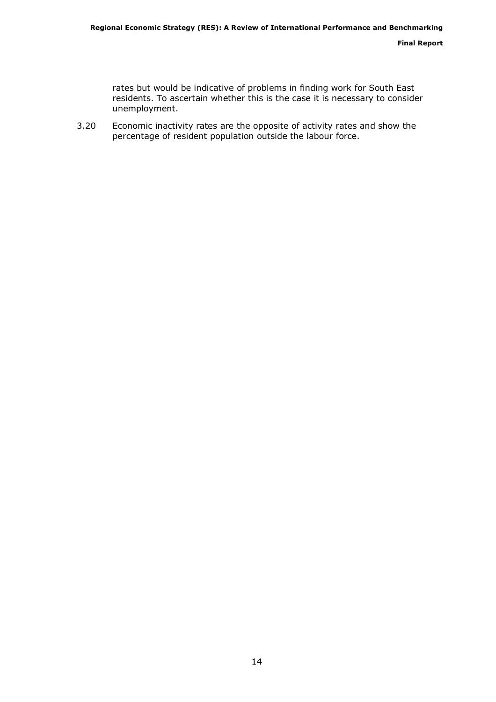rates but would be indicative of problems in finding work for South East residents. To ascertain whether this is the case it is necessary to consider unemployment.

3.20 Economic inactivity rates are the opposite of activity rates and show the percentage of resident population outside the labour force.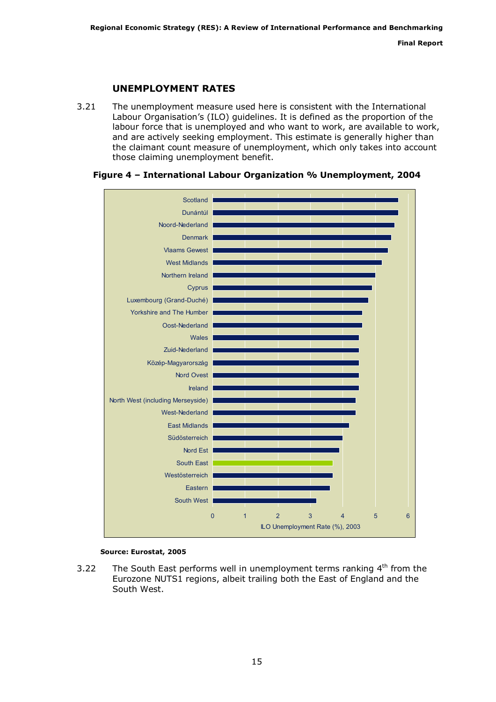## UNEMPLOYMENT RATES

3.21 The unemployment measure used here is consistent with the International Labour Organisation's (ILO) guidelines. It is defined as the proportion of the labour force that is unemployed and who want to work, are available to work, and are actively seeking employment. This estimate is generally higher than the claimant count measure of unemployment, which only takes into account those claiming unemployment benefit.



### Figure 4 – International Labour Organization % Unemployment, 2004

#### Source: Eurostat, 2005

3.22 The South East performs well in unemployment terms ranking  $4<sup>th</sup>$  from the Eurozone NUTS1 regions, albeit trailing both the East of England and the South West.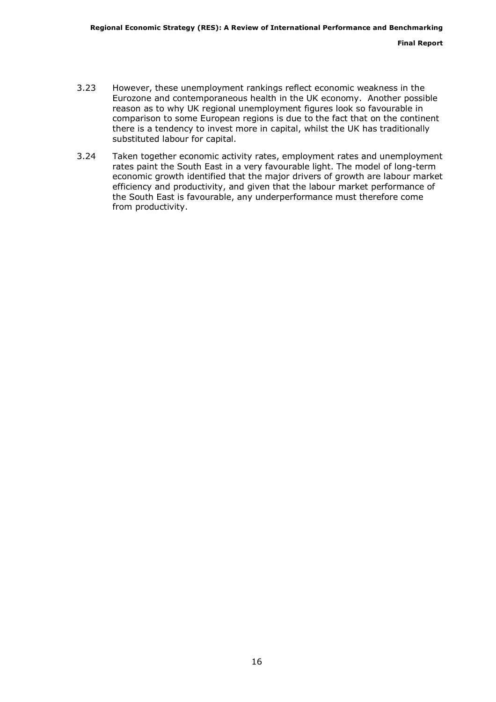- 3.23 However, these unemployment rankings reflect economic weakness in the Eurozone and contemporaneous health in the UK economy. Another possible reason as to why UK regional unemployment figures look so favourable in comparison to some European regions is due to the fact that on the continent there is a tendency to invest more in capital, whilst the UK has traditionally substituted labour for capital.
- 3.24 Taken together economic activity rates, employment rates and unemployment rates paint the South East in a very favourable light. The model of long-term economic growth identified that the major drivers of growth are labour market efficiency and productivity, and given that the labour market performance of the South East is favourable, any underperformance must therefore come from productivity.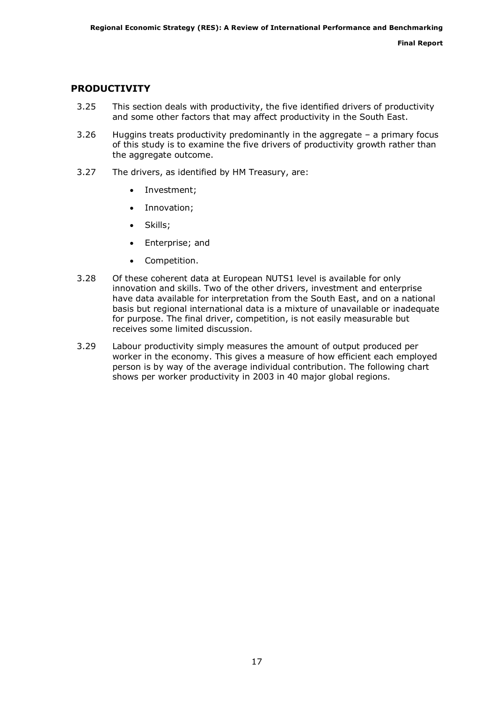## PRODUCTIVITY

- 3.25 This section deals with productivity, the five identified drivers of productivity and some other factors that may affect productivity in the South East.
- 3.26 Huggins treats productivity predominantly in the aggregate a primary focus of this study is to examine the five drivers of productivity growth rather than the aggregate outcome.
- 3.27 The drivers, as identified by HM Treasury, are:
	- Investment;
	- Innovation;
	- Skills;
	- Enterprise; and
	- Competition.
- 3.28 Of these coherent data at European NUTS1 level is available for only innovation and skills. Two of the other drivers, investment and enterprise have data available for interpretation from the South East, and on a national basis but regional international data is a mixture of unavailable or inadequate for purpose. The final driver, competition, is not easily measurable but receives some limited discussion.
- 3.29 Labour productivity simply measures the amount of output produced per worker in the economy. This gives a measure of how efficient each employed person is by way of the average individual contribution. The following chart shows per worker productivity in 2003 in 40 major global regions.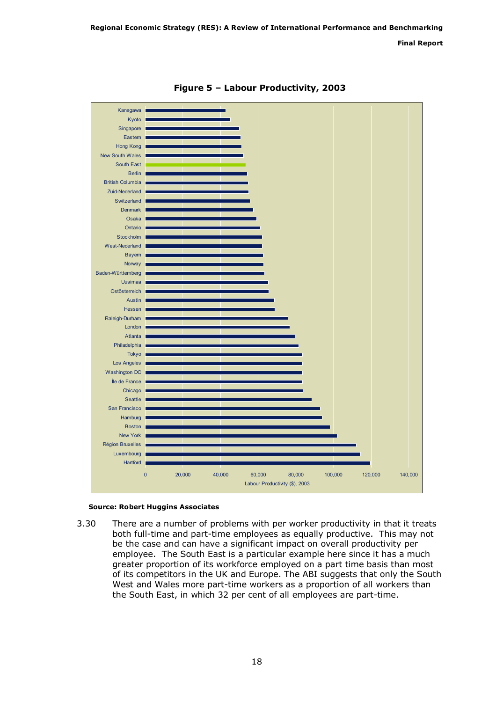Final Report



Figure 5 – Labour Productivity, 2003

#### Source: Robert Huggins Associates

3.30 There are a number of problems with per worker productivity in that it treats both full-time and part-time employees as equally productive. This may not be the case and can have a significant impact on overall productivity per employee. The South East is a particular example here since it has a much greater proportion of its workforce employed on a part time basis than most of its competitors in the UK and Europe. The ABI suggests that only the South West and Wales more part-time workers as a proportion of all workers than the South East, in which 32 per cent of all employees are part-time.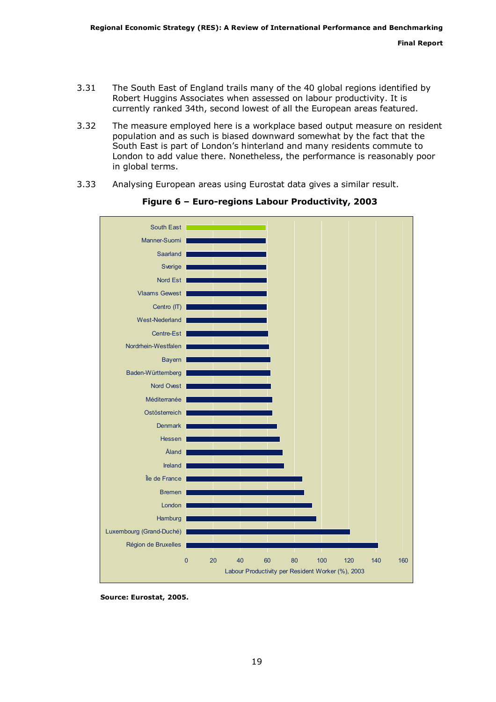- 3.31 The South East of England trails many of the 40 global regions identified by Robert Huggins Associates when assessed on labour productivity. It is currently ranked 34th, second lowest of all the European areas featured.
- 3.32 The measure employed here is a workplace based output measure on resident population and as such is biased downward somewhat by the fact that the South East is part of London's hinterland and many residents commute to London to add value there. Nonetheless, the performance is reasonably poor in global terms.
- 3.33 Analysing European areas using Eurostat data gives a similar result.



Figure 6 – Euro-regions Labour Productivity, 2003

Source: Eurostat, 2005.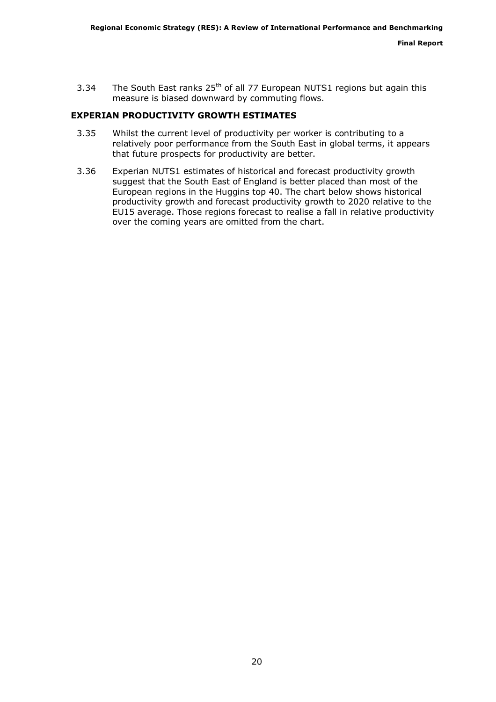3.34 The South East ranks  $25<sup>th</sup>$  of all 77 European NUTS1 regions but again this measure is biased downward by commuting flows.

## EXPERIAN PRODUCTIVITY GROWTH ESTIMATES

- 3.35 Whilst the current level of productivity per worker is contributing to a relatively poor performance from the South East in global terms, it appears that future prospects for productivity are better.
- 3.36 Experian NUTS1 estimates of historical and forecast productivity growth suggest that the South East of England is better placed than most of the European regions in the Huggins top 40. The chart below shows historical productivity growth and forecast productivity growth to 2020 relative to the EU15 average. Those regions forecast to realise a fall in relative productivity over the coming years are omitted from the chart.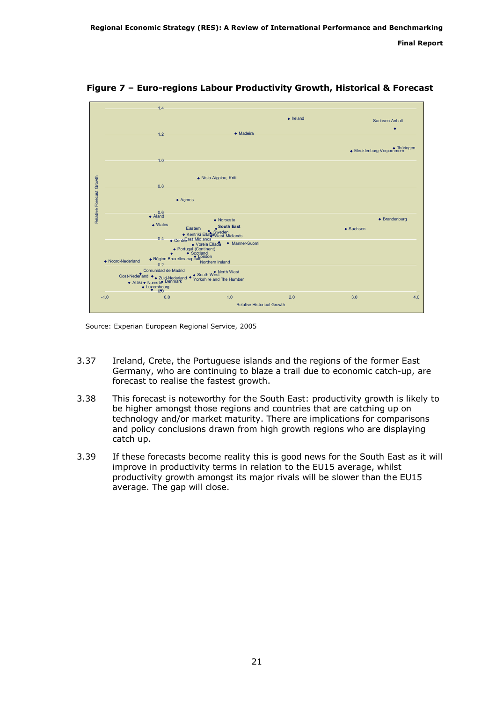

Figure 7 – Euro-regions Labour Productivity Growth, Historical & Forecast

Source: Experian European Regional Service, 2005

- 3.37 Ireland, Crete, the Portuguese islands and the regions of the former East Germany, who are continuing to blaze a trail due to economic catch-up, are forecast to realise the fastest growth.
- 3.38 This forecast is noteworthy for the South East: productivity growth is likely to be higher amongst those regions and countries that are catching up on technology and/or market maturity. There are implications for comparisons and policy conclusions drawn from high growth regions who are displaying catch up.
- 3.39 If these forecasts become reality this is good news for the South East as it will improve in productivity terms in relation to the EU15 average, whilst productivity growth amongst its major rivals will be slower than the EU15 average. The gap will close.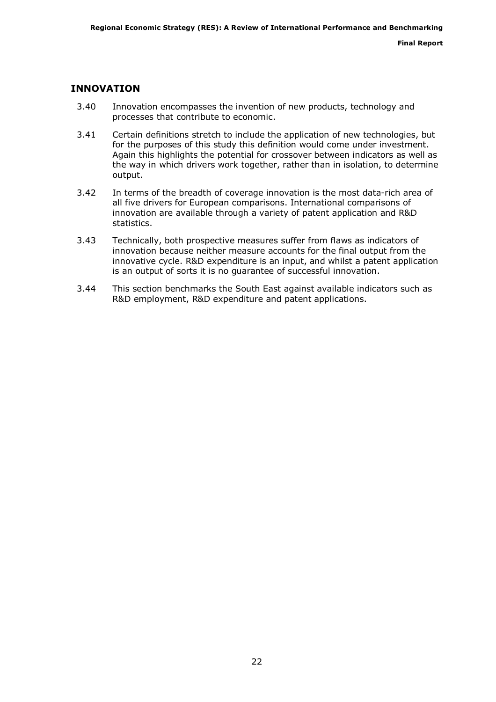## INNOVATION

- 3.40 Innovation encompasses the invention of new products, technology and processes that contribute to economic.
- 3.41 Certain definitions stretch to include the application of new technologies, but for the purposes of this study this definition would come under investment. Again this highlights the potential for crossover between indicators as well as the way in which drivers work together, rather than in isolation, to determine output.
- 3.42 In terms of the breadth of coverage innovation is the most data-rich area of all five drivers for European comparisons. International comparisons of innovation are available through a variety of patent application and R&D statistics.
- 3.43 Technically, both prospective measures suffer from flaws as indicators of innovation because neither measure accounts for the final output from the innovative cycle. R&D expenditure is an input, and whilst a patent application is an output of sorts it is no guarantee of successful innovation.
- 3.44 This section benchmarks the South East against available indicators such as R&D employment, R&D expenditure and patent applications.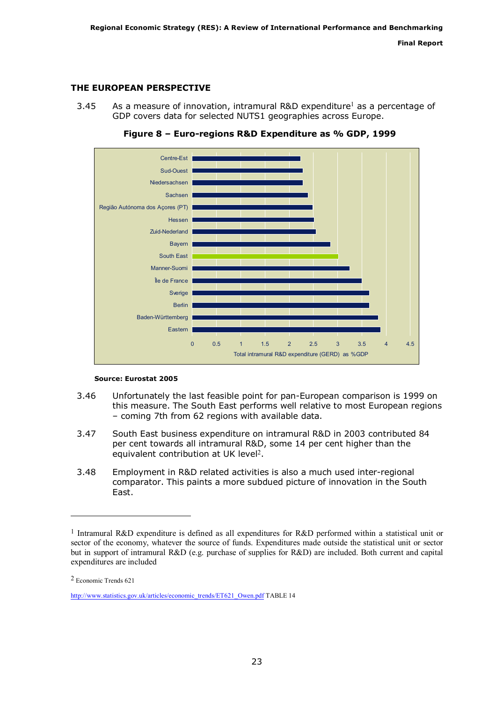## THE EUROPEAN PERSPECTIVE

3.45 As a measure of innovation, intramural R&D expenditure<sup>1</sup> as a percentage of GDP covers data for selected NUTS1 geographies across Europe.



Figure 8 – Euro-regions R&D Expenditure as % GDP, 1999

#### Source: Eurostat 2005

- 3.46 Unfortunately the last feasible point for pan-European comparison is 1999 on this measure. The South East performs well relative to most European regions – coming 7th from 62 regions with available data.
- 3.47 South East business expenditure on intramural R&D in 2003 contributed 84 per cent towards all intramural R&D, some 14 per cent higher than the equivalent contribution at UK level<sup>2</sup>.
- 3.48 Employment in R&D related activities is also a much used inter-regional comparator. This paints a more subdued picture of innovation in the South East.

ł

<sup>&</sup>lt;sup>1</sup> Intramural R&D expenditure is defined as all expenditures for R&D performed within a statistical unit or sector of the economy, whatever the source of funds. Expenditures made outside the statistical unit or sector but in support of intramural R&D (e.g. purchase of supplies for R&D) are included. Both current and capital expenditures are included

<sup>2</sup> Economic Trends 621

http://www.statistics.gov.uk/articles/economic\_trends/ET621\_Owen.pdf TABLE 14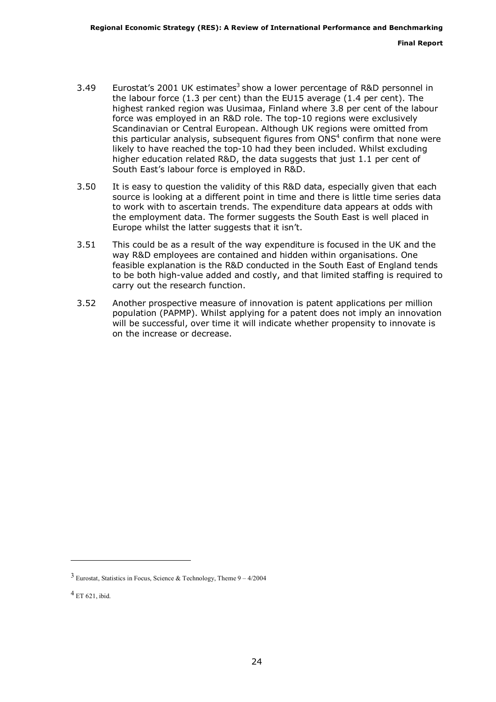- 3.49 Eurostat's 2001 UK estimates<sup>3</sup> show a lower percentage of R&D personnel in the labour force (1.3 per cent) than the EU15 average (1.4 per cent). The highest ranked region was Uusimaa, Finland where 3.8 per cent of the labour force was employed in an R&D role. The top-10 regions were exclusively Scandinavian or Central European. Although UK regions were omitted from this particular analysis, subsequent figures from  $ONS<sup>4</sup>$  confirm that none were likely to have reached the top-10 had they been included. Whilst excluding higher education related R&D, the data suggests that just 1.1 per cent of South East's labour force is employed in R&D.
- 3.50 It is easy to question the validity of this R&D data, especially given that each source is looking at a different point in time and there is little time series data to work with to ascertain trends. The expenditure data appears at odds with the employment data. The former suggests the South East is well placed in Europe whilst the latter suggests that it isn't.
- 3.51 This could be as a result of the way expenditure is focused in the UK and the way R&D employees are contained and hidden within organisations. One feasible explanation is the R&D conducted in the South East of England tends to be both high-value added and costly, and that limited staffing is required to carry out the research function.
- 3.52 Another prospective measure of innovation is patent applications per million population (PAPMP). Whilst applying for a patent does not imply an innovation will be successful, over time it will indicate whether propensity to innovate is on the increase or decrease.

j.

<sup>3</sup> Eurostat, Statistics in Focus, Science & Technology, Theme 9 – 4/2004

 $^{4}$  ET 621, ibid.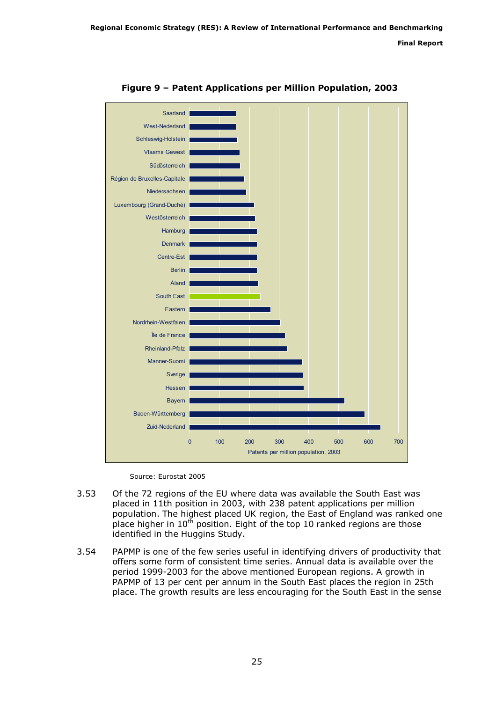

Figure 9 – Patent Applications per Million Population, 2003

Source: Eurostat 2005

- 3.53 Of the 72 regions of the EU where data was available the South East was placed in 11th position in 2003, with 238 patent applications per million population. The highest placed UK region, the East of England was ranked one place higher in  $10^{th}$  position. Eight of the top 10 ranked regions are those identified in the Huggins Study.
- 3.54 PAPMP is one of the few series useful in identifying drivers of productivity that offers some form of consistent time series. Annual data is available over the period 1999-2003 for the above mentioned European regions. A growth in PAPMP of 13 per cent per annum in the South East places the region in 25th place. The growth results are less encouraging for the South East in the sense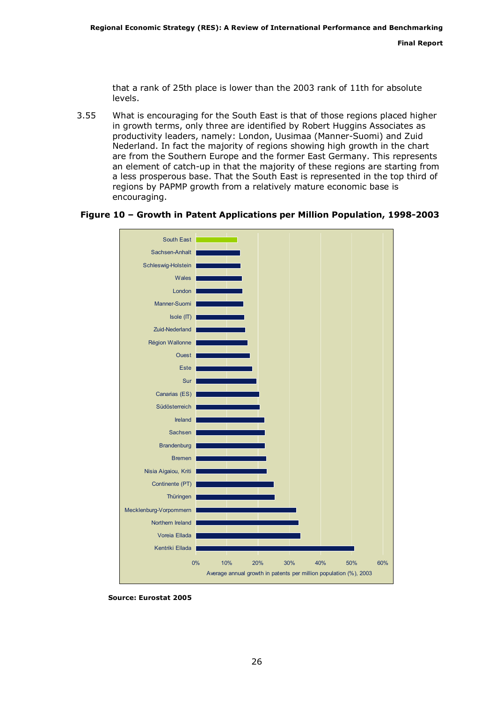that a rank of 25th place is lower than the 2003 rank of 11th for absolute levels.

3.55 What is encouraging for the South East is that of those regions placed higher in growth terms, only three are identified by Robert Huggins Associates as productivity leaders, namely: London, Uusimaa (Manner-Suomi) and Zuid Nederland. In fact the majority of regions showing high growth in the chart are from the Southern Europe and the former East Germany. This represents an element of catch-up in that the majority of these regions are starting from a less prosperous base. That the South East is represented in the top third of regions by PAPMP growth from a relatively mature economic base is encouraging.

#### Figure 10 – Growth in Patent Applications per Million Population, 1998-2003



Source: Eurostat 2005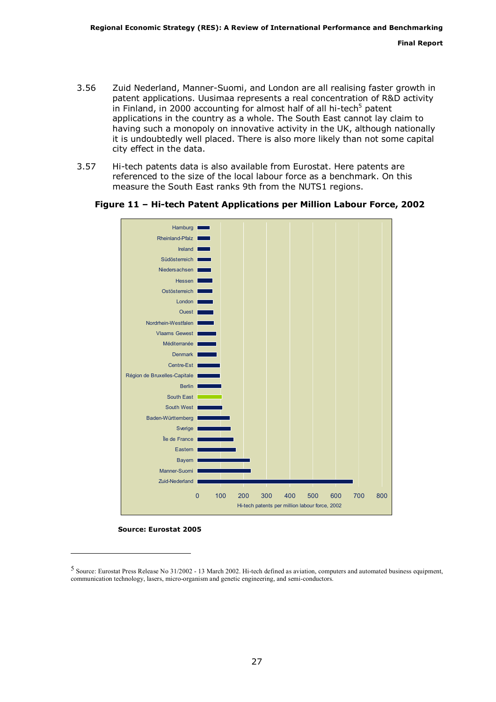- 3.56 Zuid Nederland, Manner-Suomi, and London are all realising faster growth in patent applications. Uusimaa represents a real concentration of R&D activity in Finland, in 2000 accounting for almost half of all hi-tech<sup>5</sup> patent applications in the country as a whole. The South East cannot lay claim to having such a monopoly on innovative activity in the UK, although nationally it is undoubtedly well placed. There is also more likely than not some capital city effect in the data.
- 3.57 Hi-tech patents data is also available from Eurostat. Here patents are referenced to the size of the local labour force as a benchmark. On this measure the South East ranks 9th from the NUTS1 regions.



Figure 11 – Hi-tech Patent Applications per Million Labour Force, 2002

Source: Eurostat 2005

ł

<sup>5</sup> Source: Eurostat Press Release No 31/2002 - 13 March 2002. Hi-tech defined as aviation, computers and automated business equipment, communication technology, lasers, micro-organism and genetic engineering, and semi-conductors.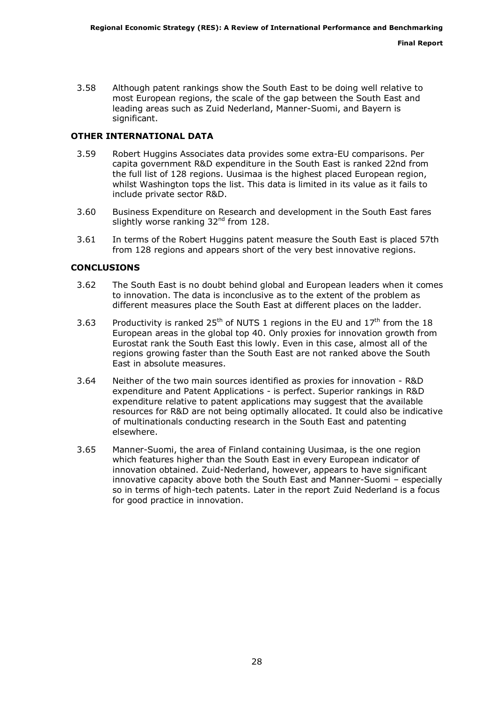3.58 Although patent rankings show the South East to be doing well relative to most European regions, the scale of the gap between the South East and leading areas such as Zuid Nederland, Manner-Suomi, and Bayern is significant.

#### OTHER INTERNATIONAL DATA

- 3.59 Robert Huggins Associates data provides some extra-EU comparisons. Per capita government R&D expenditure in the South East is ranked 22nd from the full list of 128 regions. Uusimaa is the highest placed European region, whilst Washington tops the list. This data is limited in its value as it fails to include private sector R&D.
- 3.60 Business Expenditure on Research and development in the South East fares slightly worse ranking  $32<sup>nd</sup>$  from 128.
- 3.61 In terms of the Robert Huggins patent measure the South East is placed 57th from 128 regions and appears short of the very best innovative regions.

#### **CONCLUSIONS**

- 3.62 The South East is no doubt behind global and European leaders when it comes to innovation. The data is inconclusive as to the extent of the problem as different measures place the South East at different places on the ladder.
- 3.63 Productivity is ranked  $25<sup>th</sup>$  of NUTS 1 regions in the EU and  $17<sup>th</sup>$  from the 18 European areas in the global top 40. Only proxies for innovation growth from Eurostat rank the South East this lowly. Even in this case, almost all of the regions growing faster than the South East are not ranked above the South East in absolute measures.
- 3.64 Neither of the two main sources identified as proxies for innovation R&D expenditure and Patent Applications - is perfect. Superior rankings in R&D expenditure relative to patent applications may suggest that the available resources for R&D are not being optimally allocated. It could also be indicative of multinationals conducting research in the South East and patenting elsewhere.
- 3.65 Manner-Suomi, the area of Finland containing Uusimaa, is the one region which features higher than the South East in every European indicator of innovation obtained. Zuid-Nederland, however, appears to have significant innovative capacity above both the South East and Manner-Suomi – especially so in terms of high-tech patents. Later in the report Zuid Nederland is a focus for good practice in innovation.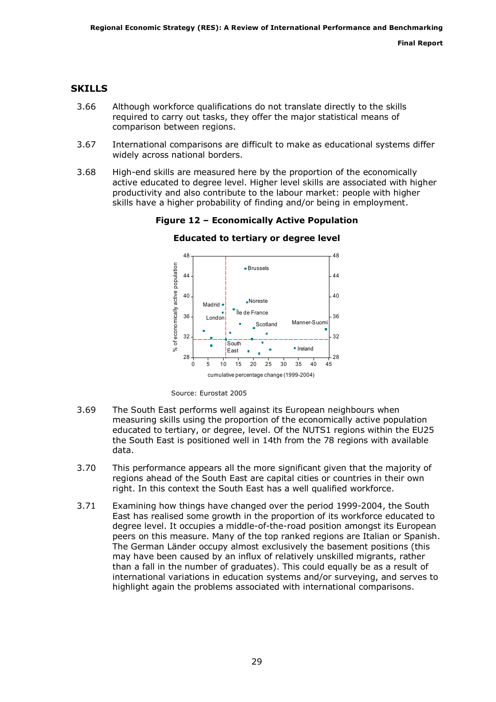## **SKILLS**

- 3.66 Although workforce qualifications do not translate directly to the skills required to carry out tasks, they offer the major statistical means of comparison between regions.
- 3.67 International comparisons are difficult to make as educational systems differ widely across national borders.
- 3.68 High-end skills are measured here by the proportion of the economically active educated to degree level. Higher level skills are associated with higher productivity and also contribute to the labour market: people with higher skills have a higher probability of finding and/or being in employment.

48 48 % of economically active population economically active population Brussels 44 44 40 40 Noreste Madrid · Île de France 36 36 London Manner-Suomi Scotland × 32 32 đ **South** Ireland  $\approx$ East  $\blacksquare$ 28 28 0 5 10 15 20 25 30 35 40 45 cumulative percentage change (1999-2004)

Figure 12 – Economically Active Population Educated to tertiary or degree level

Source: Eurostat 2005

- 3.69 The South East performs well against its European neighbours when measuring skills using the proportion of the economically active population educated to tertiary, or degree, level. Of the NUTS1 regions within the EU25 the South East is positioned well in 14th from the 78 regions with available data.
- 3.70 This performance appears all the more significant given that the majority of regions ahead of the South East are capital cities or countries in their own right. In this context the South East has a well qualified workforce.
- 3.71 Examining how things have changed over the period 1999-2004, the South East has realised some growth in the proportion of its workforce educated to degree level. It occupies a middle-of-the-road position amongst its European peers on this measure. Many of the top ranked regions are Italian or Spanish. The German Länder occupy almost exclusively the basement positions (this may have been caused by an influx of relatively unskilled migrants, rather than a fall in the number of graduates). This could equally be as a result of international variations in education systems and/or surveying, and serves to highlight again the problems associated with international comparisons.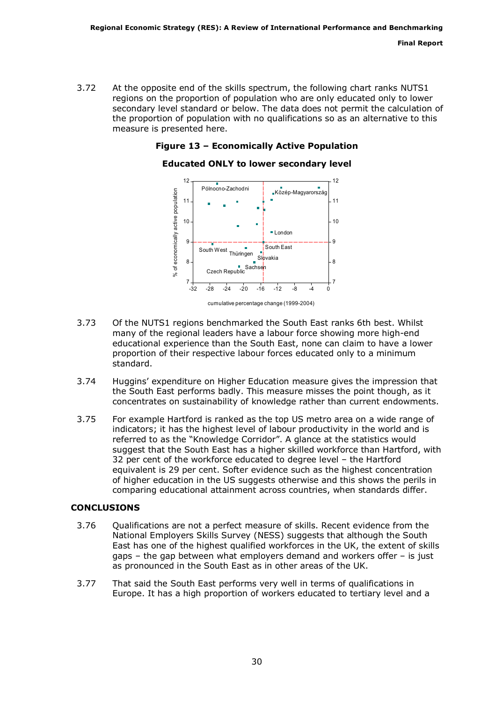3.72 At the opposite end of the skills spectrum, the following chart ranks NUTS1 regions on the proportion of population who are only educated only to lower secondary level standard or below. The data does not permit the calculation of the proportion of population with no qualifications so as an alternative to this measure is presented here.

### Figure 13 – Economically Active Population

#### Educated ONLY to lower secondary level



cumulative percentage change (1999-2004)

- 3.73 Of the NUTS1 regions benchmarked the South East ranks 6th best. Whilst many of the regional leaders have a labour force showing more high-end educational experience than the South East, none can claim to have a lower proportion of their respective labour forces educated only to a minimum standard.
- 3.74 Huggins' expenditure on Higher Education measure gives the impression that the South East performs badly. This measure misses the point though, as it concentrates on sustainability of knowledge rather than current endowments.
- 3.75 For example Hartford is ranked as the top US metro area on a wide range of indicators; it has the highest level of labour productivity in the world and is referred to as the "Knowledge Corridor". A glance at the statistics would suggest that the South East has a higher skilled workforce than Hartford, with 32 per cent of the workforce educated to degree level – the Hartford equivalent is 29 per cent. Softer evidence such as the highest concentration of higher education in the US suggests otherwise and this shows the perils in comparing educational attainment across countries, when standards differ.

#### **CONCLUSIONS**

- 3.76 Qualifications are not a perfect measure of skills. Recent evidence from the National Employers Skills Survey (NESS) suggests that although the South East has one of the highest qualified workforces in the UK, the extent of skills gaps – the gap between what employers demand and workers offer – is just as pronounced in the South East as in other areas of the UK.
- 3.77 That said the South East performs very well in terms of qualifications in Europe. It has a high proportion of workers educated to tertiary level and a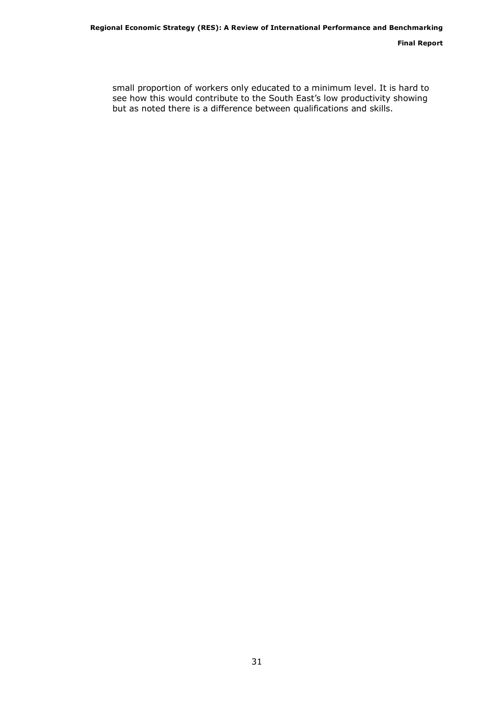small proportion of workers only educated to a minimum level. It is hard to shigh propertion of nonceloding calculate to a minimizant forch II is not allowed see how this would contribute to the South East's low productivity showing but as noted there is a difference between qualifications and skills.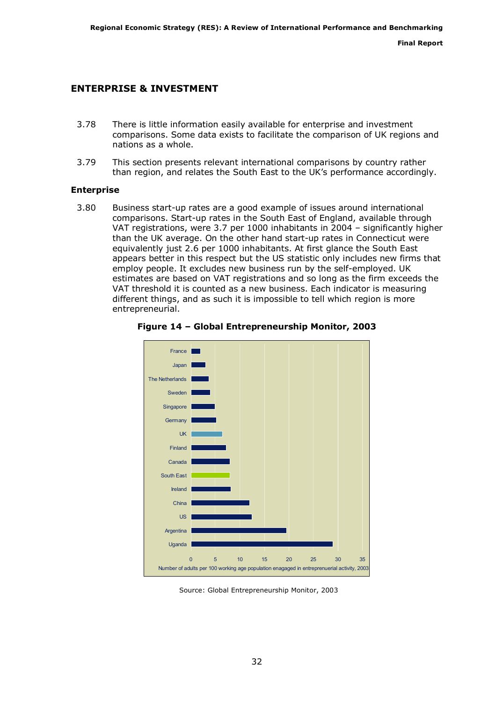## ENTERPRISE & INVESTMENT

- 3.78 There is little information easily available for enterprise and investment comparisons. Some data exists to facilitate the comparison of UK regions and nations as a whole.
- 3.79 This section presents relevant international comparisons by country rather than region, and relates the South East to the UK's performance accordingly.

#### Enterprise

3.80 Business start-up rates are a good example of issues around international comparisons. Start-up rates in the South East of England, available through VAT registrations, were 3.7 per 1000 inhabitants in 2004 – significantly higher than the UK average. On the other hand start-up rates in Connecticut were equivalently just 2.6 per 1000 inhabitants. At first glance the South East appears better in this respect but the US statistic only includes new firms that employ people. It excludes new business run by the self-employed. UK estimates are based on VAT registrations and so long as the firm exceeds the VAT threshold it is counted as a new business. Each indicator is measuring different things, and as such it is impossible to tell which region is more entrepreneurial.



Figure 14 – Global Entrepreneurship Monitor, 2003

Source: Global Entrepreneurship Monitor, 2003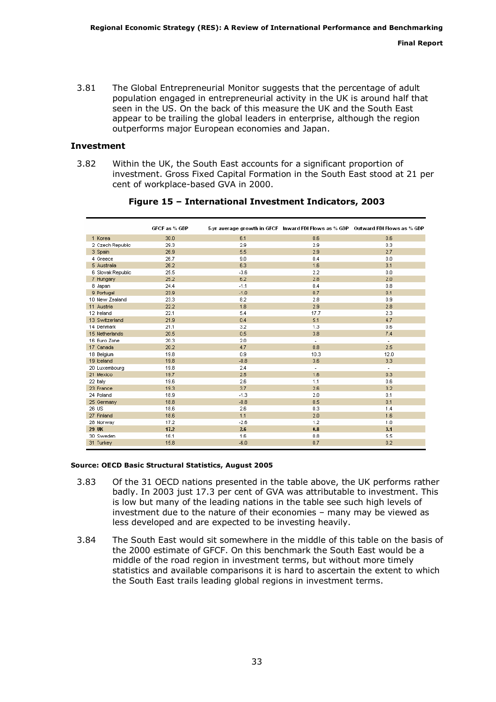3.81 The Global Entrepreneurial Monitor suggests that the percentage of adult population engaged in entrepreneurial activity in the UK is around half that seen in the US. On the back of this measure the UK and the South East appear to be trailing the global leaders in enterprise, although the region outperforms major European economies and Japan.

#### Investment

3.82 Within the UK, the South East accounts for a significant proportion of investment. Gross Fixed Capital Formation in the South East stood at 21 per cent of workplace-based GVA in 2000.

|                   | GFCF as % GDP |        |                          | 5-yr average growth in GFCF - Inward FDI Flows as % GDP - Outward FDI Flows as % GDP |
|-------------------|---------------|--------|--------------------------|--------------------------------------------------------------------------------------|
| 1 Korea           | 30.0          | 6.1    | 0.6                      | 0.6                                                                                  |
| 2 Czech Republic  | 29.3          | 2.9    | 2.9                      | 0.3                                                                                  |
| 3 Spain           | 26.9          | 5.5    | 2.9                      | 2.7                                                                                  |
| 4 Greece          | 26.7          | 9.0    | 0.4                      | 0.0                                                                                  |
| 5 Australia       | 26.2          | 6.3    | 1.6                      | 3.1                                                                                  |
| 6 Slovak Republic | 25.5          | $-3.6$ | 2.2                      | 0.0                                                                                  |
| 7 Hungary         | 25.2          | 6.2    | 2.8                      | 2.0                                                                                  |
| 8 Japan           | 24.4          | $-1.1$ | 0.4                      | 0.8                                                                                  |
| 9 Portugal        | 23.9          | $-1.0$ | 0.7                      | 0.1                                                                                  |
| 10 New Zealand    | 23.3          | 8.2    | 2.8                      | 0.9                                                                                  |
| 11 Austria        | 22.2          | 1.8    | 2.9                      | 2.8                                                                                  |
| 12 Ireland        | 22.1          | 5.4    | 17.7                     | 2.3                                                                                  |
| 13 Switzerland    | 21.9          | 0.4    | 5.1                      | 4.7                                                                                  |
| 14 Denmark        | 21.1          | 3.2    | 1.3                      | 0.6                                                                                  |
| 15 Netherlands    | 20.5          | 0.5    | 3.8                      | 7.4                                                                                  |
| 16 Euro Zone      | 20.3          | 2.0    | $\overline{\phantom{a}}$ | $\overline{\phantom{a}}$                                                             |
| 17 Canada         | 20.2          | 4.7    | 0.8                      | 2.5                                                                                  |
| 18 Belgium        | 19.8          | 0.9    | 10.3                     | 12.0                                                                                 |
| 19 Iceland        | 19.8          | $-0.8$ | 3.6                      | 3.3                                                                                  |
| 20 Luxembourg     | 19.8          | 2.4    | ٠                        | $\overline{\phantom{a}}$                                                             |
| 21 Mexico         | 19.7          | 2.5    | 1.6                      | 0.3                                                                                  |
| 22 Italy          | 19.6          | 2.6    | 1.1                      | 0.6                                                                                  |
| 23 France         | 19.3          | 3.7    | 2.6                      | 3.2                                                                                  |
| 24 Poland         | 18.9          | $-1.3$ | 2.0                      | 0.1                                                                                  |
| 25 Germany        | 18.8          | $-0.8$ | 0.5                      | 0.1                                                                                  |
| 26 US             | 18.6          | 2.6    | 0.3                      | 1.4                                                                                  |
| 27 Finland        | 18.6          | 1.1    | 2.0                      | 1.6                                                                                  |
| 28 Norway         | 17.2          | $-2.6$ | 1.2                      | 1.0                                                                                  |
| 29 UK             | 17.2          | 2.6    | 0.8                      | 3.1                                                                                  |
| 30 Sweden         | 16.1          | 1.6    | 0.8                      | 5.5                                                                                  |
| 31 Turkey         | 15.8          | $-6.0$ | 0.7                      | 0.2                                                                                  |

### Figure 15 – International Investment Indicators, 2003

#### Source: OECD Basic Structural Statistics, August 2005

- 3.83 Of the 31 OECD nations presented in the table above, the UK performs rather badly. In 2003 just 17.3 per cent of GVA was attributable to investment. This is low but many of the leading nations in the table see such high levels of investment due to the nature of their economies – many may be viewed as less developed and are expected to be investing heavily.
- 3.84 The South East would sit somewhere in the middle of this table on the basis of the 2000 estimate of GFCF. On this benchmark the South East would be a middle of the road region in investment terms, but without more timely statistics and available comparisons it is hard to ascertain the extent to which the South East trails leading global regions in investment terms.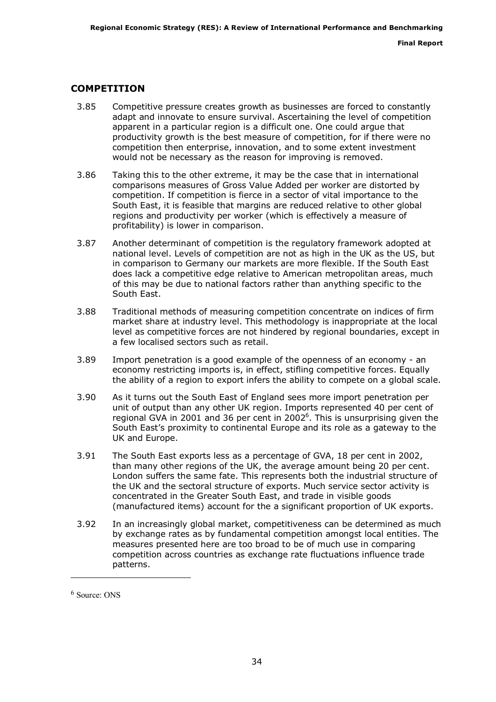## COMPETITION

- 3.85 Competitive pressure creates growth as businesses are forced to constantly adapt and innovate to ensure survival. Ascertaining the level of competition apparent in a particular region is a difficult one. One could argue that productivity growth is the best measure of competition, for if there were no competition then enterprise, innovation, and to some extent investment would not be necessary as the reason for improving is removed.
- 3.86 Taking this to the other extreme, it may be the case that in international comparisons measures of Gross Value Added per worker are distorted by competition. If competition is fierce in a sector of vital importance to the South East, it is feasible that margins are reduced relative to other global regions and productivity per worker (which is effectively a measure of profitability) is lower in comparison.
- 3.87 Another determinant of competition is the regulatory framework adopted at national level. Levels of competition are not as high in the UK as the US, but in comparison to Germany our markets are more flexible. If the South East does lack a competitive edge relative to American metropolitan areas, much of this may be due to national factors rather than anything specific to the South East.
- 3.88 Traditional methods of measuring competition concentrate on indices of firm market share at industry level. This methodology is inappropriate at the local level as competitive forces are not hindered by regional boundaries, except in a few localised sectors such as retail.
- 3.89 Import penetration is a good example of the openness of an economy an economy restricting imports is, in effect, stifling competitive forces. Equally the ability of a region to export infers the ability to compete on a global scale.
- 3.90 As it turns out the South East of England sees more import penetration per unit of output than any other UK region. Imports represented 40 per cent of regional GVA in 2001 and 36 per cent in 2002<sup>6</sup>. This is unsurprising given the South East's proximity to continental Europe and its role as a gateway to the UK and Europe.
- 3.91 The South East exports less as a percentage of GVA, 18 per cent in 2002, than many other regions of the UK, the average amount being 20 per cent. London suffers the same fate. This represents both the industrial structure of the UK and the sectoral structure of exports. Much service sector activity is concentrated in the Greater South East, and trade in visible goods (manufactured items) account for the a significant proportion of UK exports.
- 3.92 In an increasingly global market, competitiveness can be determined as much by exchange rates as by fundamental competition amongst local entities. The measures presented here are too broad to be of much use in comparing competition across countries as exchange rate fluctuations influence trade patterns.

ł

<sup>6</sup> Source: ONS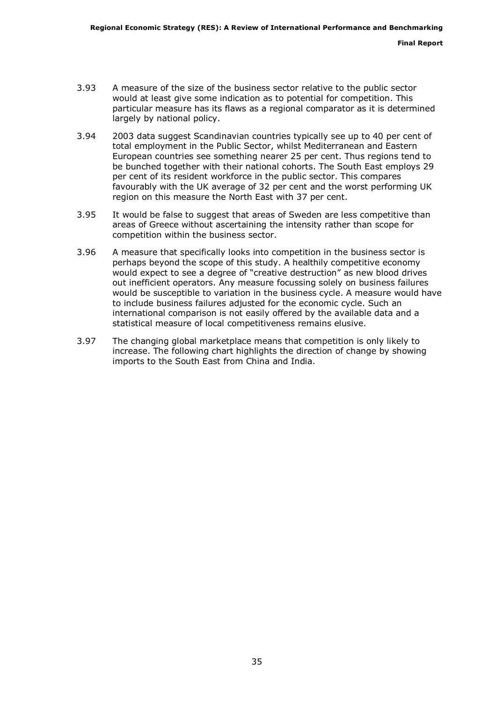- 3.93 A measure of the size of the business sector relative to the public sector would at least give some indication as to potential for competition. This particular measure has its flaws as a regional comparator as it is determined largely by national policy.
- 3.94 2003 data suggest Scandinavian countries typically see up to 40 per cent of total employment in the Public Sector, whilst Mediterranean and Eastern European countries see something nearer 25 per cent. Thus regions tend to be bunched together with their national cohorts. The South East employs 29 per cent of its resident workforce in the public sector. This compares favourably with the UK average of 32 per cent and the worst performing UK region on this measure the North East with 37 per cent.
- 3.95 It would be false to suggest that areas of Sweden are less competitive than areas of Greece without ascertaining the intensity rather than scope for competition within the business sector.
- 3.96 A measure that specifically looks into competition in the business sector is perhaps beyond the scope of this study. A healthily competitive economy would expect to see a degree of "creative destruction" as new blood drives out inefficient operators. Any measure focussing solely on business failures would be susceptible to variation in the business cycle. A measure would have to include business failures adjusted for the economic cycle. Such an international comparison is not easily offered by the available data and a statistical measure of local competitiveness remains elusive.
- 3.97 The changing global marketplace means that competition is only likely to increase. The following chart highlights the direction of change by showing imports to the South East from China and India.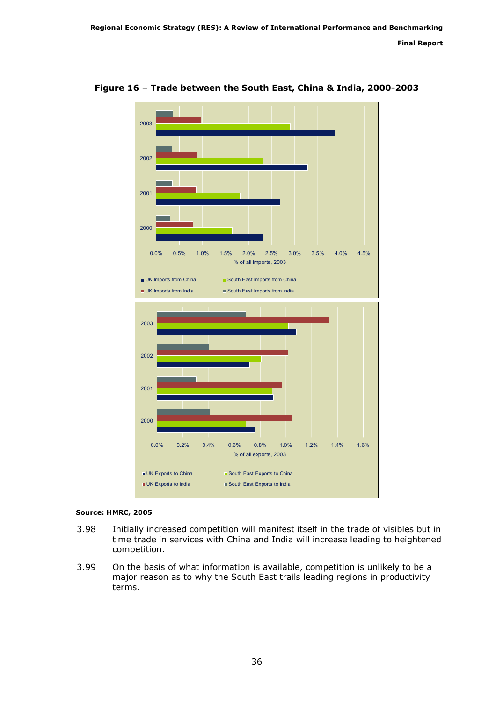

Figure 16 – Trade between the South East, China & India, 2000-2003

#### Source: HMRC, 2005

- 3.98 Initially increased competition will manifest itself in the trade of visibles but in time trade in services with China and India will increase leading to heightened competition.
- 3.99 On the basis of what information is available, competition is unlikely to be a major reason as to why the South East trails leading regions in productivity terms.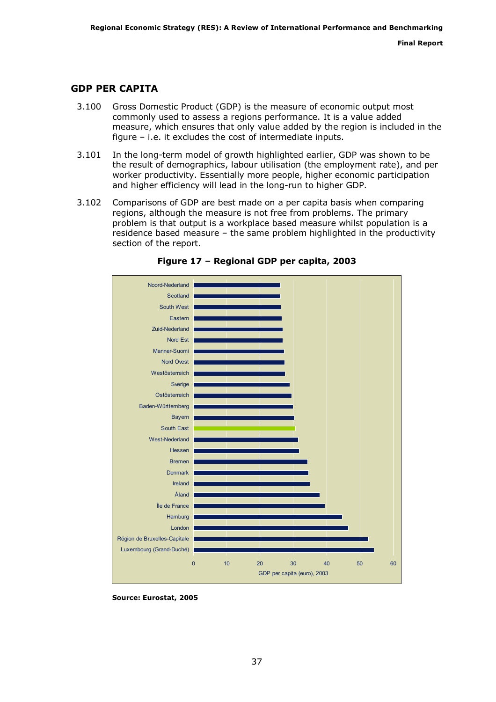## GDP PER CAPITA

- 3.100 Gross Domestic Product (GDP) is the measure of economic output most commonly used to assess a regions performance. It is a value added measure, which ensures that only value added by the region is included in the figure – i.e. it excludes the cost of intermediate inputs.
- 3.101 In the long-term model of growth highlighted earlier, GDP was shown to be the result of demographics, labour utilisation (the employment rate), and per worker productivity. Essentially more people, higher economic participation and higher efficiency will lead in the long-run to higher GDP.
- 3.102 Comparisons of GDP are best made on a per capita basis when comparing regions, although the measure is not free from problems. The primary problem is that output is a workplace based measure whilst population is a residence based measure – the same problem highlighted in the productivity section of the report.



Figure 17 – Regional GDP per capita, 2003

Source: Eurostat, 2005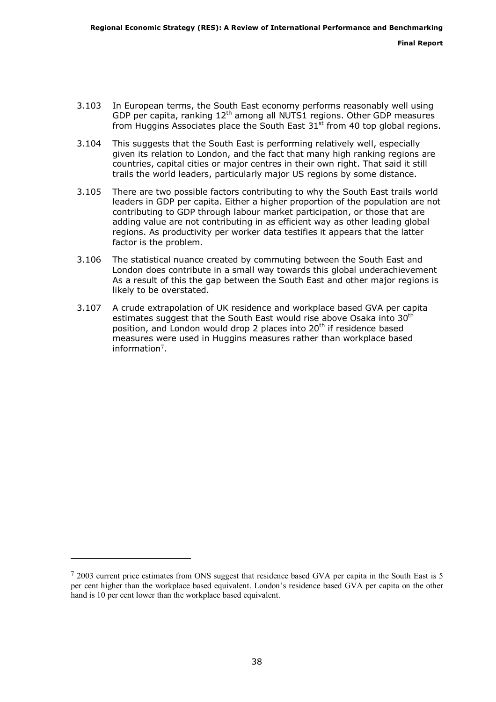- 3.103 In European terms, the South East economy performs reasonably well using GDP per capita, ranking 12<sup>th</sup> among all NUTS1 regions. Other GDP measures from Huggins Associates place the South East  $31<sup>st</sup>$  from 40 top global regions.
- 3.104 This suggests that the South East is performing relatively well, especially given its relation to London, and the fact that many high ranking regions are countries, capital cities or major centres in their own right. That said it still trails the world leaders, particularly major US regions by some distance.
- 3.105 There are two possible factors contributing to why the South East trails world leaders in GDP per capita. Either a higher proportion of the population are not contributing to GDP through labour market participation, or those that are adding value are not contributing in as efficient way as other leading global regions. As productivity per worker data testifies it appears that the latter factor is the problem.
- 3.106 The statistical nuance created by commuting between the South East and London does contribute in a small way towards this global underachievement As a result of this the gap between the South East and other major regions is likely to be overstated.
- 3.107 A crude extrapolation of UK residence and workplace based GVA per capita estimates suggest that the South East would rise above Osaka into  $30<sup>th</sup>$ position, and London would drop 2 places into 20<sup>th</sup> if residence based measures were used in Huggins measures rather than workplace based information7 .

j.

<sup>&</sup>lt;sup>7</sup> 2003 current price estimates from ONS suggest that residence based GVA per capita in the South East is 5 per cent higher than the workplace based equivalent. London's residence based GVA per capita on the other hand is 10 per cent lower than the workplace based equivalent.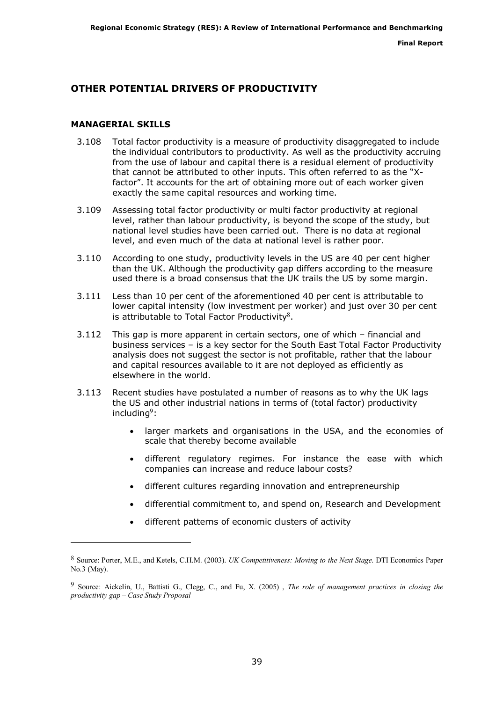## OTHER POTENTIAL DRIVERS OF PRODUCTIVITY

#### MANAGERIAL SKILLS

ł

- 3.108 Total factor productivity is a measure of productivity disaggregated to include the individual contributors to productivity. As well as the productivity accruing from the use of labour and capital there is a residual element of productivity that cannot be attributed to other inputs. This often referred to as the "Xfactor". It accounts for the art of obtaining more out of each worker given exactly the same capital resources and working time.
- 3.109 Assessing total factor productivity or multi factor productivity at regional level, rather than labour productivity, is beyond the scope of the study, but national level studies have been carried out. There is no data at regional level, and even much of the data at national level is rather poor.
- 3.110 According to one study, productivity levels in the US are 40 per cent higher than the UK. Although the productivity gap differs according to the measure used there is a broad consensus that the UK trails the US by some margin.
- 3.111 Less than 10 per cent of the aforementioned 40 per cent is attributable to lower capital intensity (low investment per worker) and just over 30 per cent is attributable to Total Factor Productivity $8$ .
- 3.112 This gap is more apparent in certain sectors, one of which financial and business services – is a key sector for the South East Total Factor Productivity analysis does not suggest the sector is not profitable, rather that the labour and capital resources available to it are not deployed as efficiently as elsewhere in the world.
- 3.113 Recent studies have postulated a number of reasons as to why the UK lags the US and other industrial nations in terms of (total factor) productivity including $9$ :
	- larger markets and organisations in the USA, and the economies of scale that thereby become available
	- different regulatory regimes. For instance the ease with which companies can increase and reduce labour costs?
	- different cultures regarding innovation and entrepreneurship
	- differential commitment to, and spend on, Research and Development
	- different patterns of economic clusters of activity

<sup>8</sup> Source: Porter, M.E., and Ketels, C.H.M. (2003). UK Competitiveness: Moving to the Next Stage. DTI Economics Paper No.3 (May).

<sup>&</sup>lt;sup>9</sup> Source: Aickelin, U., Battisti G., Clegg, C., and Fu, X. (2005) , The role of management practices in closing the productivity gap – Case Study Proposal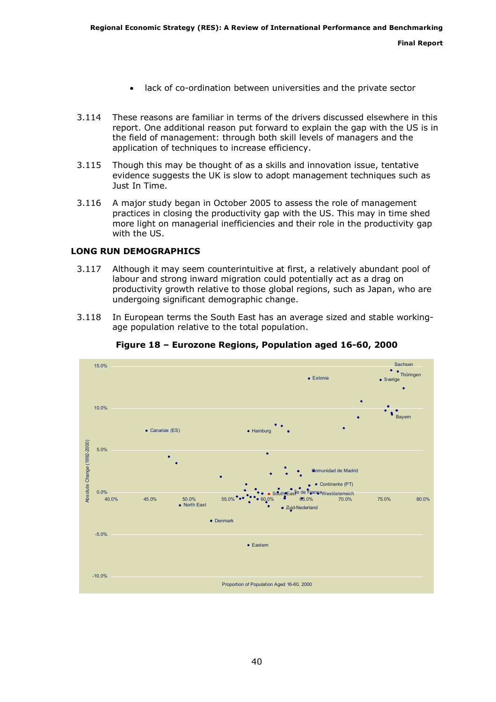- lack of co-ordination between universities and the private sector
- 3.114 These reasons are familiar in terms of the drivers discussed elsewhere in this report. One additional reason put forward to explain the gap with the US is in the field of management: through both skill levels of managers and the application of techniques to increase efficiency.
- 3.115 Though this may be thought of as a skills and innovation issue, tentative evidence suggests the UK is slow to adopt management techniques such as Just In Time.
- 3.116 A major study began in October 2005 to assess the role of management practices in closing the productivity gap with the US. This may in time shed more light on managerial inefficiencies and their role in the productivity gap with the US.

## LONG RUN DEMOGRAPHICS

- 3.117 Although it may seem counterintuitive at first, a relatively abundant pool of labour and strong inward migration could potentially act as a drag on productivity growth relative to those global regions, such as Japan, who are undergoing significant demographic change.
- 3.118 In European terms the South East has an average sized and stable workingage population relative to the total population.



Figure 18 – Eurozone Regions, Population aged 16-60, 2000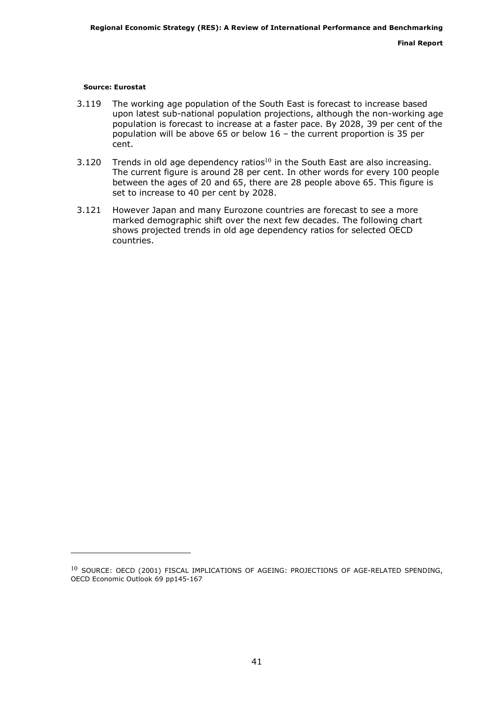#### Source: Eurostat

j.

- 3.119 The working age population of the South East is forecast to increase based upon latest sub-national population projections, although the non-working age population is forecast to increase at a faster pace. By 2028, 39 per cent of the population will be above 65 or below 16 – the current proportion is 35 per cent.
- 3.120 Trends in old age dependency ratios<sup>10</sup> in the South East are also increasing. The current figure is around 28 per cent. In other words for every 100 people between the ages of 20 and 65, there are 28 people above 65. This figure is set to increase to 40 per cent by 2028.
- 3.121 However Japan and many Eurozone countries are forecast to see a more marked demographic shift over the next few decades. The following chart shows projected trends in old age dependency ratios for selected OECD countries.

<sup>&</sup>lt;sup>10</sup> SOURCE: OECD (2001) FISCAL IMPLICATIONS OF AGEING: PROJECTIONS OF AGE-RELATED SPENDING, OECD Economic Outlook 69 pp145-167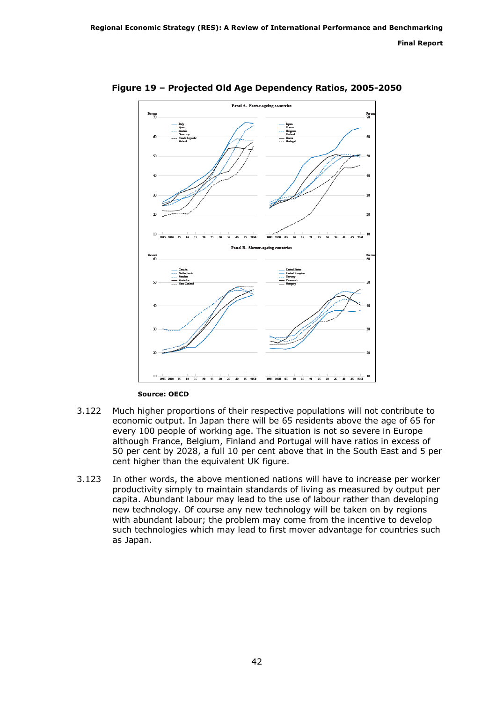

Figure 19 – Projected Old Age Dependency Ratios, 2005-2050

Source: OECD

- 3.122 Much higher proportions of their respective populations will not contribute to economic output. In Japan there will be 65 residents above the age of 65 for every 100 people of working age. The situation is not so severe in Europe although France, Belgium, Finland and Portugal will have ratios in excess of 50 per cent by 2028, a full 10 per cent above that in the South East and 5 per cent higher than the equivalent UK figure.
- 3.123 In other words, the above mentioned nations will have to increase per worker productivity simply to maintain standards of living as measured by output per capita. Abundant labour may lead to the use of labour rather than developing new technology. Of course any new technology will be taken on by regions with abundant labour; the problem may come from the incentive to develop such technologies which may lead to first mover advantage for countries such as Japan.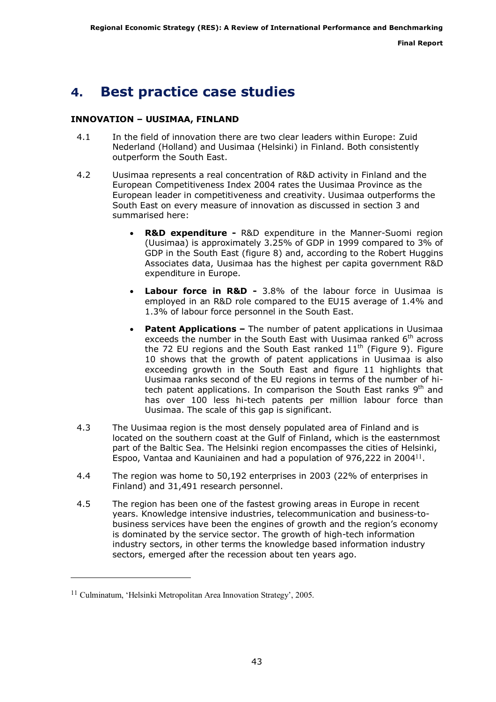## <span id="page-42-0"></span>4. Best practice case studies

### INNOVATION – UUSIMAA, FINLAND

- 4.1 In the field of innovation there are two clear leaders within Europe: Zuid Nederland (Holland) and Uusimaa (Helsinki) in Finland. Both consistently outperform the South East.
- 4.2 Uusimaa represents a real concentration of R&D activity in Finland and the European Competitiveness Index 2004 rates the Uusimaa Province as the European leader in competitiveness and creativity. Uusimaa outperforms the South East on every measure of innovation as discussed in section 3 and summarised here:
	- **R&D expenditure R&D expenditure in the Manner-Suomi region** (Uusimaa) is approximately 3.25% of GDP in 1999 compared to 3% of GDP in the South East (figure 8) and, according to the Robert Huggins Associates data, Uusimaa has the highest per capita government R&D expenditure in Europe.
	- Labour force in R&D 3.8% of the labour force in Uusimaa is employed in an R&D role compared to the EU15 average of 1.4% and 1.3% of labour force personnel in the South East.
	- **Patent Applications –** The number of patent applications in Uusimaa exceeds the number in the South East with Uusimaa ranked  $6<sup>th</sup>$  across the 72 EU regions and the South East ranked  $11<sup>th</sup>$  (Figure 9). Figure 10 shows that the growth of patent applications in Uusimaa is also exceeding growth in the South East and figure 11 highlights that Uusimaa ranks second of the EU regions in terms of the number of hitech patent applications. In comparison the South East ranks  $9<sup>th</sup>$  and has over 100 less hi-tech patents per million labour force than Uusimaa. The scale of this gap is significant.
- 4.3 The Uusimaa region is the most densely populated area of Finland and is located on the southern coast at the Gulf of Finland, which is the easternmost part of the Baltic Sea. The Helsinki region encompasses the cities of Helsinki, Espoo, Vantaa and Kauniainen and had a population of 976,222 in 2004<sup>11</sup>.
- 4.4 The region was home to 50,192 enterprises in 2003 (22% of enterprises in Finland) and 31,491 research personnel.
- 4.5 The region has been one of the fastest growing areas in Europe in recent years. Knowledge intensive industries, telecommunication and business-tobusiness services have been the engines of growth and the region's economy is dominated by the service sector. The growth of high-tech information industry sectors, in other terms the knowledge based information industry sectors, emerged after the recession about ten years ago.

ł

<sup>11</sup> Culminatum, 'Helsinki Metropolitan Area Innovation Strategy', 2005.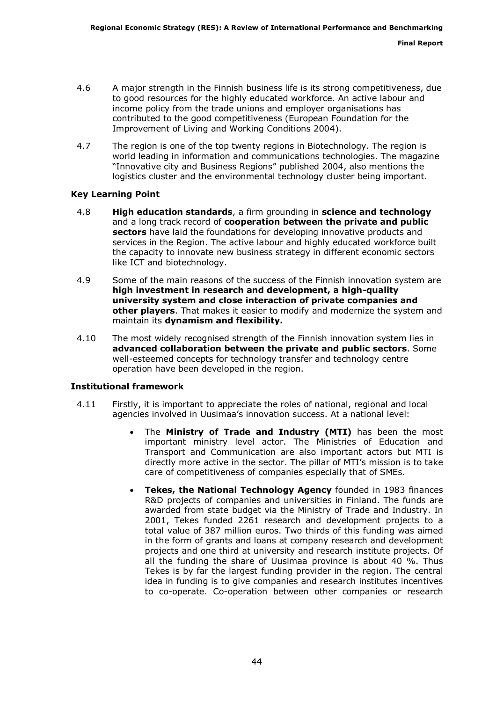- 4.6 A major strength in the Finnish business life is its strong competitiveness, due to good resources for the highly educated workforce. An active labour and income policy from the trade unions and employer organisations has contributed to the good competitiveness (European Foundation for the Improvement of Living and Working Conditions 2004).
- 4.7 The region is one of the top twenty regions in Biotechnology. The region is world leading in information and communications technologies. The magazine "Innovative city and Business Regions" published 2004, also mentions the logistics cluster and the environmental technology cluster being important.

#### Key Learning Point

- 4.8 High education standards, a firm grounding in science and technology and a long track record of **cooperation between the private and public** sectors have laid the foundations for developing innovative products and services in the Region. The active labour and highly educated workforce built the capacity to innovate new business strategy in different economic sectors like ICT and biotechnology.
- 4.9 Some of the main reasons of the success of the Finnish innovation system are high investment in research and development, a high-quality university system and close interaction of private companies and other players. That makes it easier to modify and modernize the system and maintain its dynamism and flexibility.
- 4.10 The most widely recognised strength of the Finnish innovation system lies in advanced collaboration between the private and public sectors. Some well-esteemed concepts for technology transfer and technology centre operation have been developed in the region.

#### Institutional framework

- 4.11 Firstly, it is important to appreciate the roles of national, regional and local agencies involved in Uusimaa's innovation success. At a national level:
	- The Ministry of Trade and Industry (MTI) has been the most important ministry level actor. The Ministries of Education and Transport and Communication are also important actors but MTI is directly more active in the sector. The pillar of MTI's mission is to take care of competitiveness of companies especially that of SMEs.
	- Tekes, the National Technology Agency founded in 1983 finances R&D projects of companies and universities in Finland. The funds are awarded from state budget via the Ministry of Trade and Industry. In 2001, Tekes funded 2261 research and development projects to a total value of 387 million euros. Two thirds of this funding was aimed in the form of grants and loans at company research and development projects and one third at university and research institute projects. Of all the funding the share of Uusimaa province is about 40 %. Thus Tekes is by far the largest funding provider in the region. The central idea in funding is to give companies and research institutes incentives to co-operate. Co-operation between other companies or research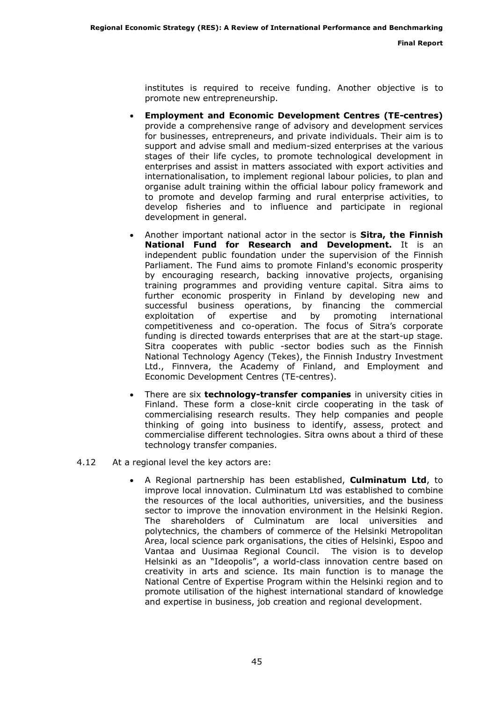institutes is required to receive funding. Another objective is to promote new entrepreneurship.

- Employment and Economic Development Centres (TE-centres) provide a comprehensive range of advisory and development services for businesses, entrepreneurs, and private individuals. Their aim is to support and advise small and medium-sized enterprises at the various stages of their life cycles, to promote technological development in enterprises and assist in matters associated with export activities and internationalisation, to implement regional labour policies, to plan and organise adult training within the official labour policy framework and to promote and develop farming and rural enterprise activities, to develop fisheries and to influence and participate in regional development in general.
- Another important national actor in the sector is Sitra, the Finnish National Fund for Research and Development. It is an independent public foundation under the supervision of the Finnish Parliament. The Fund aims to promote Finland's economic prosperity by encouraging research, backing innovative projects, organising training programmes and providing venture capital. Sitra aims to further economic prosperity in Finland by developing new and successful business operations, by financing the commercial exploitation of expertise and by promoting international competitiveness and co-operation. The focus of Sitra's corporate funding is directed towards enterprises that are at the start-up stage. Sitra cooperates with public -sector bodies such as the Finnish National Technology Agency (Tekes), the Finnish Industry Investment Ltd., Finnvera, the Academy of Finland, and Employment and Economic Development Centres (TE-centres).
- There are six **technology-transfer companies** in university cities in Finland. These form a close-knit circle cooperating in the task of commercialising research results. They help companies and people thinking of going into business to identify, assess, protect and commercialise different technologies. Sitra owns about a third of these technology transfer companies.
- 4.12 At a regional level the key actors are:
	- A Regional partnership has been established, Culminatum Ltd, to improve local innovation. Culminatum Ltd was established to combine the resources of the local authorities, universities, and the business sector to improve the innovation environment in the Helsinki Region. The shareholders of Culminatum are local universities and polytechnics, the chambers of commerce of the Helsinki Metropolitan Area, local science park organisations, the cities of Helsinki, Espoo and Vantaa and Uusimaa Regional Council. The vision is to develop Helsinki as an "Ideopolis", a world-class innovation centre based on creativity in arts and science. Its main function is to manage the National Centre of Expertise Program within the Helsinki region and to promote utilisation of the highest international standard of knowledge and expertise in business, job creation and regional development.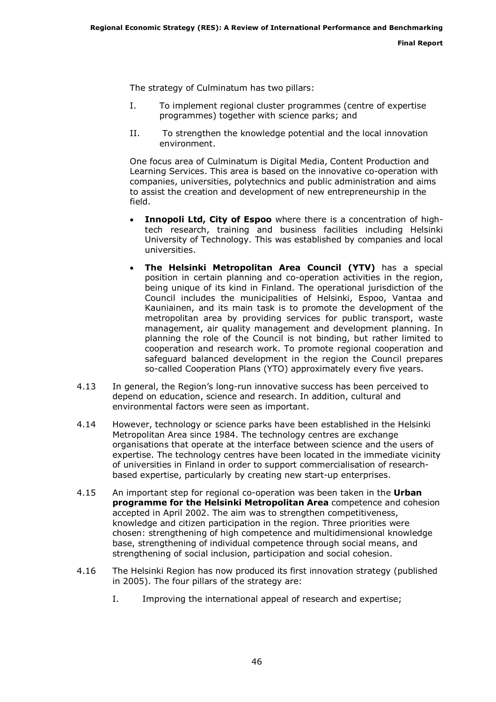The strategy of Culminatum has two pillars:

- I. To implement regional cluster programmes (centre of expertise programmes) together with science parks; and
- II. To strengthen the knowledge potential and the local innovation environment.

One focus area of Culminatum is Digital Media, Content Production and Learning Services. This area is based on the innovative co-operation with companies, universities, polytechnics and public administration and aims to assist the creation and development of new entrepreneurship in the field.

- Innopoli Ltd, City of Espoo where there is a concentration of hightech research, training and business facilities including Helsinki University of Technology. This was established by companies and local universities.
- The Helsinki Metropolitan Area Council (YTV) has a special position in certain planning and co-operation activities in the region, being unique of its kind in Finland. The operational jurisdiction of the Council includes the municipalities of Helsinki, Espoo, Vantaa and Kauniainen, and its main task is to promote the development of the metropolitan area by providing services for public transport, waste management, air quality management and development planning. In planning the role of the Council is not binding, but rather limited to cooperation and research work. To promote regional cooperation and safeguard balanced development in the region the Council prepares so-called Cooperation Plans (YTO) approximately every five years.
- 4.13 In general, the Region's long-run innovative success has been perceived to depend on education, science and research. In addition, cultural and environmental factors were seen as important.
- 4.14 However, technology or science parks have been established in the Helsinki Metropolitan Area since 1984. The technology centres are exchange organisations that operate at the interface between science and the users of expertise. The technology centres have been located in the immediate vicinity of universities in Finland in order to support commercialisation of researchbased expertise, particularly by creating new start-up enterprises.
- 4.15 An important step for regional co-operation was been taken in the Urban programme for the Helsinki Metropolitan Area competence and cohesion accepted in April 2002. The aim was to strengthen competitiveness, knowledge and citizen participation in the region. Three priorities were chosen: strengthening of high competence and multidimensional knowledge base, strengthening of individual competence through social means, and strengthening of social inclusion, participation and social cohesion.
- 4.16 The Helsinki Region has now produced its first innovation strategy (published in 2005). The four pillars of the strategy are:
	- I. Improving the international appeal of research and expertise;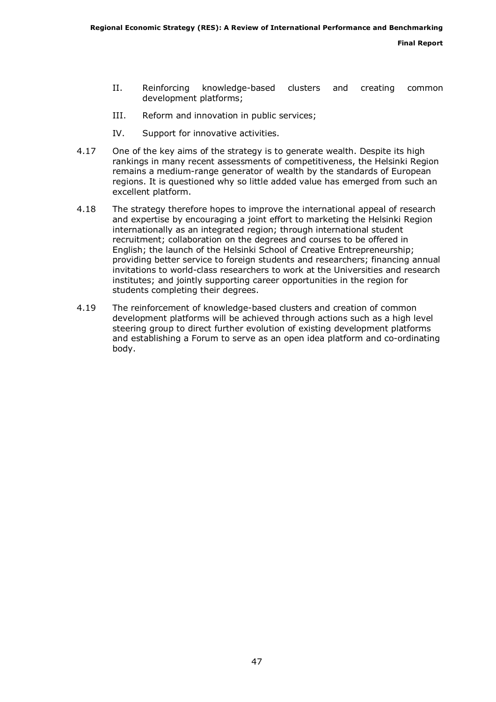- II. Reinforcing knowledge-based clusters and creating common development platforms;
- III. Reform and innovation in public services;
- IV. Support for innovative activities.
- 4.17 One of the key aims of the strategy is to generate wealth. Despite its high rankings in many recent assessments of competitiveness, the Helsinki Region remains a medium-range generator of wealth by the standards of European regions. It is questioned why so little added value has emerged from such an excellent platform.
- 4.18 The strategy therefore hopes to improve the international appeal of research and expertise by encouraging a joint effort to marketing the Helsinki Region internationally as an integrated region; through international student recruitment; collaboration on the degrees and courses to be offered in English; the launch of the Helsinki School of Creative Entrepreneurship; providing better service to foreign students and researchers; financing annual invitations to world-class researchers to work at the Universities and research institutes; and jointly supporting career opportunities in the region for students completing their degrees.
- 4.19 The reinforcement of knowledge-based clusters and creation of common development platforms will be achieved through actions such as a high level steering group to direct further evolution of existing development platforms and establishing a Forum to serve as an open idea platform and co-ordinating body.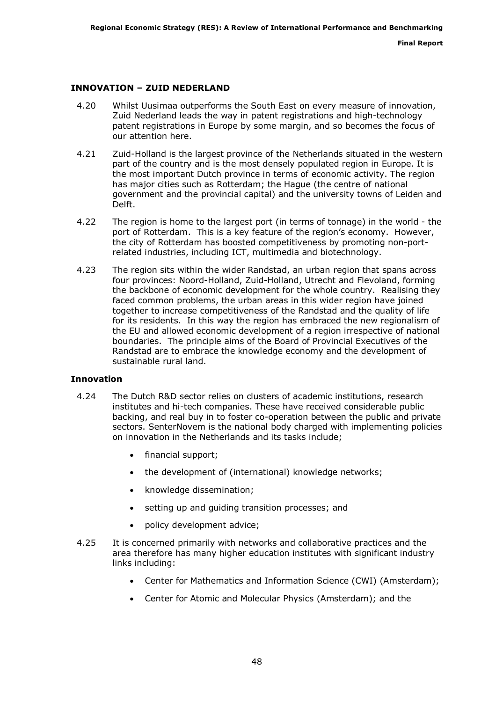## INNOVATION – ZUID NEDERLAND

- 4.20 Whilst Uusimaa outperforms the South East on every measure of innovation, Zuid Nederland leads the way in patent registrations and high-technology patent registrations in Europe by some margin, and so becomes the focus of our attention here.
- 4.21 Zuid-Holland is the largest province of the Netherlands situated in the western part of the country and is the most densely populated region in Europe. It is the most important Dutch province in terms of economic activity. The region has major cities such as Rotterdam; the Hague (the centre of national government and the provincial capital) and the university towns of Leiden and Delft.
- 4.22 The region is home to the largest port (in terms of tonnage) in the world the port of Rotterdam. This is a key feature of the region's economy. However, the city of Rotterdam has boosted competitiveness by promoting non-portrelated industries, including ICT, multimedia and biotechnology.
- 4.23 The region sits within the wider Randstad, an urban region that spans across four provinces: Noord-Holland, Zuid-Holland, Utrecht and Flevoland, forming the backbone of economic development for the whole country. Realising they faced common problems, the urban areas in this wider region have joined together to increase competitiveness of the Randstad and the quality of life for its residents. In this way the region has embraced the new regionalism of the EU and allowed economic development of a region irrespective of national boundaries. The principle aims of the Board of Provincial Executives of the Randstad are to embrace the knowledge economy and the development of sustainable rural land.

#### Innovation

- 4.24 The Dutch R&D sector relies on clusters of academic institutions, research institutes and hi-tech companies. These have received considerable public backing, and real buy in to foster co-operation between the public and private sectors. SenterNovem is the national body charged with implementing policies on innovation in the Netherlands and its tasks include;
	- financial support;
	- the development of (international) knowledge networks;
	- knowledge dissemination;
	- setting up and quiding transition processes; and
	- policy development advice;
- 4.25 It is concerned primarily with networks and collaborative practices and the area therefore has many higher education institutes with significant industry links including:
	- Center for Mathematics and Information Science (CWI) (Amsterdam);
	- Center for Atomic and Molecular Physics (Amsterdam); and the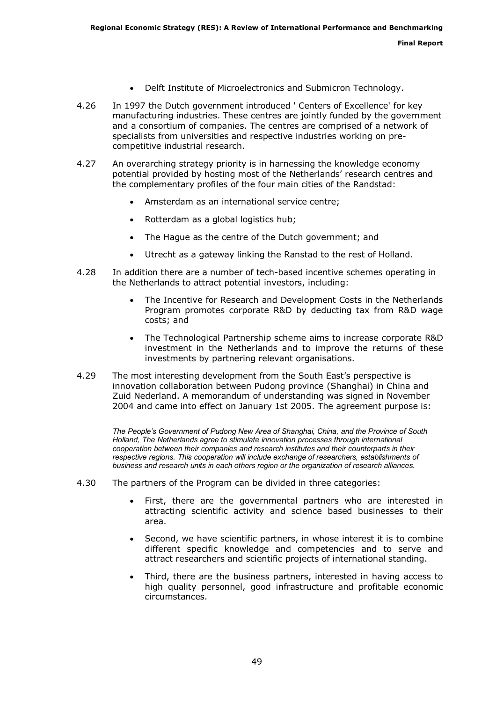- Delft Institute of Microelectronics and Submicron Technology.
- 4.26 In 1997 the Dutch government introduced ' Centers of Excellence' for key manufacturing industries. These centres are jointly funded by the government and a consortium of companies. The centres are comprised of a network of specialists from universities and respective industries working on precompetitive industrial research.
- 4.27 An overarching strategy priority is in harnessing the knowledge economy potential provided by hosting most of the Netherlands' research centres and the complementary profiles of the four main cities of the Randstad:
	- Amsterdam as an international service centre;
	- Rotterdam as a global logistics hub;
	- The Hague as the centre of the Dutch government; and
	- Utrecht as a gateway linking the Ranstad to the rest of Holland.
- 4.28 In addition there are a number of tech-based incentive schemes operating in the Netherlands to attract potential investors, including:
	- The Incentive for Research and Development Costs in the Netherlands Program promotes corporate R&D by deducting tax from R&D wage costs; and
	- The Technological Partnership scheme aims to increase corporate R&D investment in the Netherlands and to improve the returns of these investments by partnering relevant organisations.
- 4.29 The most interesting development from the South East's perspective is innovation collaboration between Pudong province (Shanghai) in China and Zuid Nederland. A memorandum of understanding was signed in November 2004 and came into effect on January 1st 2005. The agreement purpose is:

The People's Government of Pudong New Area of Shanghai, China, and the Province of South Holland, The Netherlands agree to stimulate innovation processes through international cooperation between their companies and research institutes and their counterparts in their respective regions. This cooperation will include exchange of researchers, establishments of business and research units in each others region or the organization of research alliances.

- 4.30 The partners of the Program can be divided in three categories:
	- First, there are the governmental partners who are interested in attracting scientific activity and science based businesses to their area.
	- Second, we have scientific partners, in whose interest it is to combine different specific knowledge and competencies and to serve and attract researchers and scientific projects of international standing.
	- Third, there are the business partners, interested in having access to high quality personnel, good infrastructure and profitable economic circumstances.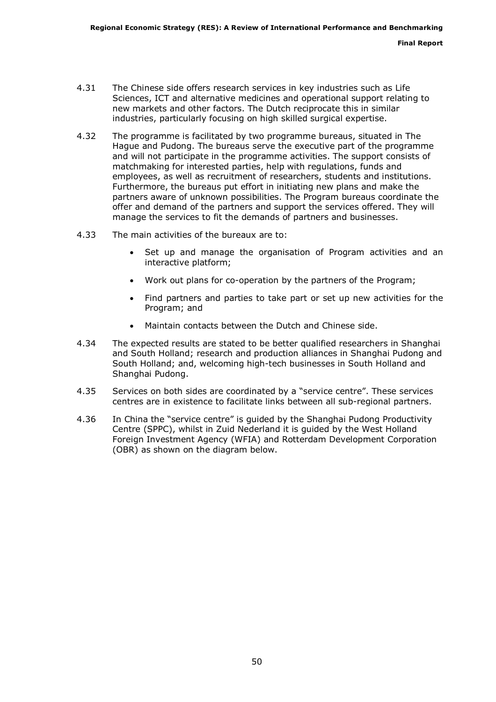- 4.31 The Chinese side offers research services in key industries such as Life Sciences, ICT and alternative medicines and operational support relating to new markets and other factors. The Dutch reciprocate this in similar industries, particularly focusing on high skilled surgical expertise.
- 4.32 The programme is facilitated by two programme bureaus, situated in The Hague and Pudong. The bureaus serve the executive part of the programme and will not participate in the programme activities. The support consists of matchmaking for interested parties, help with regulations, funds and employees, as well as recruitment of researchers, students and institutions. Furthermore, the bureaus put effort in initiating new plans and make the partners aware of unknown possibilities. The Program bureaus coordinate the offer and demand of the partners and support the services offered. They will manage the services to fit the demands of partners and businesses.
- 4.33 The main activities of the bureaux are to:
	- Set up and manage the organisation of Program activities and an interactive platform;
	- Work out plans for co-operation by the partners of the Program;
	- Find partners and parties to take part or set up new activities for the Program; and
	- Maintain contacts between the Dutch and Chinese side.
- 4.34 The expected results are stated to be better qualified researchers in Shanghai and South Holland; research and production alliances in Shanghai Pudong and South Holland; and, welcoming high-tech businesses in South Holland and Shanghai Pudong.
- 4.35 Services on both sides are coordinated by a "service centre". These services centres are in existence to facilitate links between all sub-regional partners.
- 4.36 In China the "service centre" is guided by the Shanghai Pudong Productivity Centre (SPPC), whilst in Zuid Nederland it is guided by the West Holland Foreign Investment Agency (WFIA) and Rotterdam Development Corporation (OBR) as shown on the diagram below.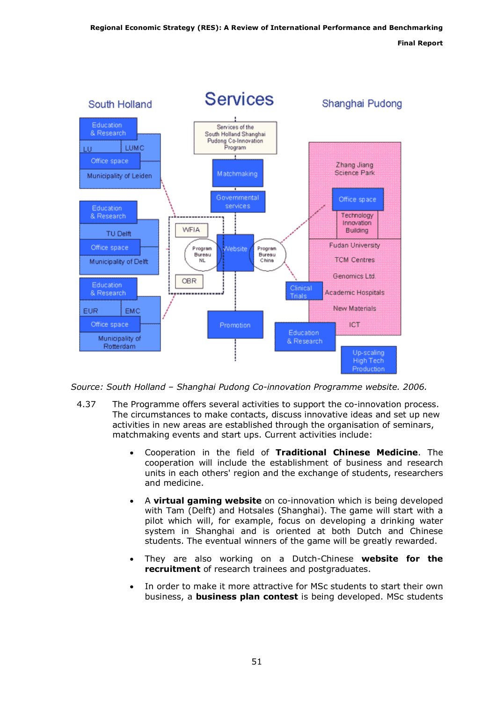Final Report



Source: South Holland – Shanghai Pudong Co-innovation Programme website. 2006.

- 4.37 The Programme offers several activities to support the co-innovation process. The circumstances to make contacts, discuss innovative ideas and set up new activities in new areas are established through the organisation of seminars, matchmaking events and start ups. Current activities include:
	- Cooperation in the field of Traditional Chinese Medicine. The cooperation will include the establishment of business and research units in each others' region and the exchange of students, researchers and medicine.
	- A virtual gaming website on co-innovation which is being developed with Tam (Delft) and Hotsales (Shanghai). The game will start with a pilot which will, for example, focus on developing a drinking water system in Shanghai and is oriented at both Dutch and Chinese students. The eventual winners of the game will be greatly rewarded.
	- They are also working on a Dutch-Chinese website for the recruitment of research trainees and postgraduates.
	- In order to make it more attractive for MSc students to start their own business, a **business plan contest** is being developed. MSc students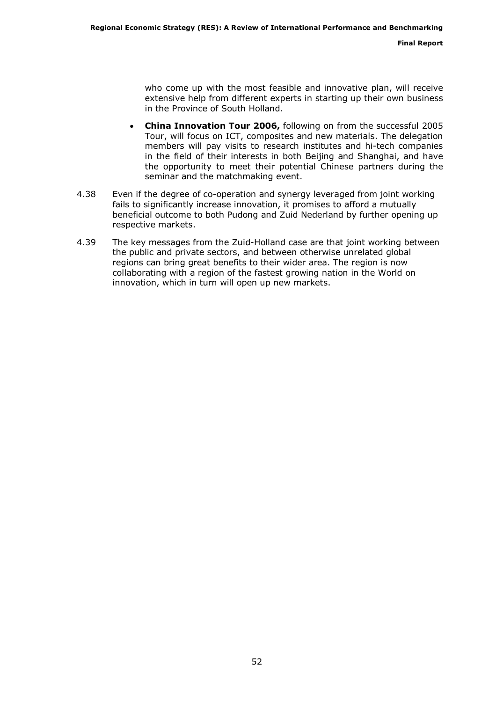who come up with the most feasible and innovative plan, will receive extensive help from different experts in starting up their own business in the Province of South Holland.

- China Innovation Tour 2006, following on from the successful 2005 Tour, will focus on ICT, composites and new materials. The delegation members will pay visits to research institutes and hi-tech companies in the field of their interests in both Beijing and Shanghai, and have the opportunity to meet their potential Chinese partners during the seminar and the matchmaking event.
- 4.38 Even if the degree of co-operation and synergy leveraged from joint working fails to significantly increase innovation, it promises to afford a mutually beneficial outcome to both Pudong and Zuid Nederland by further opening up respective markets.
- 4.39 The key messages from the Zuid-Holland case are that joint working between the public and private sectors, and between otherwise unrelated global regions can bring great benefits to their wider area. The region is now collaborating with a region of the fastest growing nation in the World on innovation, which in turn will open up new markets.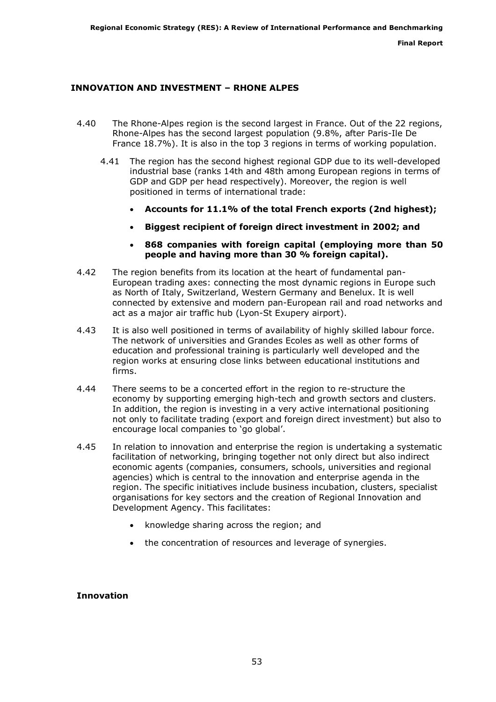## INNOVATION AND INVESTMENT – RHONE ALPES

- 4.40 The Rhone-Alpes region is the second largest in France. Out of the 22 regions, Rhone-Alpes has the second largest population (9.8%, after Paris-Ile De France 18.7%). It is also in the top 3 regions in terms of working population.
	- 4.41 The region has the second highest regional GDP due to its well-developed industrial base (ranks 14th and 48th among European regions in terms of GDP and GDP per head respectively). Moreover, the region is well positioned in terms of international trade:
		- Accounts for 11.1% of the total French exports (2nd highest);
		- Biggest recipient of foreign direct investment in 2002; and
		- 868 companies with foreign capital (employing more than 50 people and having more than 30 % foreign capital).
- 4.42 The region benefits from its location at the heart of fundamental pan-European trading axes: connecting the most dynamic regions in Europe such as North of Italy, Switzerland, Western Germany and Benelux. It is well connected by extensive and modern pan-European rail and road networks and act as a major air traffic hub (Lyon-St Exupery airport).
- 4.43 It is also well positioned in terms of availability of highly skilled labour force. The network of universities and Grandes Ecoles as well as other forms of education and professional training is particularly well developed and the region works at ensuring close links between educational institutions and firms.
- 4.44 There seems to be a concerted effort in the region to re-structure the economy by supporting emerging high-tech and growth sectors and clusters. In addition, the region is investing in a very active international positioning not only to facilitate trading (export and foreign direct investment) but also to encourage local companies to 'go global'.
- 4.45 In relation to innovation and enterprise the region is undertaking a systematic facilitation of networking, bringing together not only direct but also indirect economic agents (companies, consumers, schools, universities and regional agencies) which is central to the innovation and enterprise agenda in the region. The specific initiatives include business incubation, clusters, specialist organisations for key sectors and the creation of Regional Innovation and Development Agency. This facilitates:
	- knowledge sharing across the region; and
	- the concentration of resources and leverage of synergies.

#### Innovation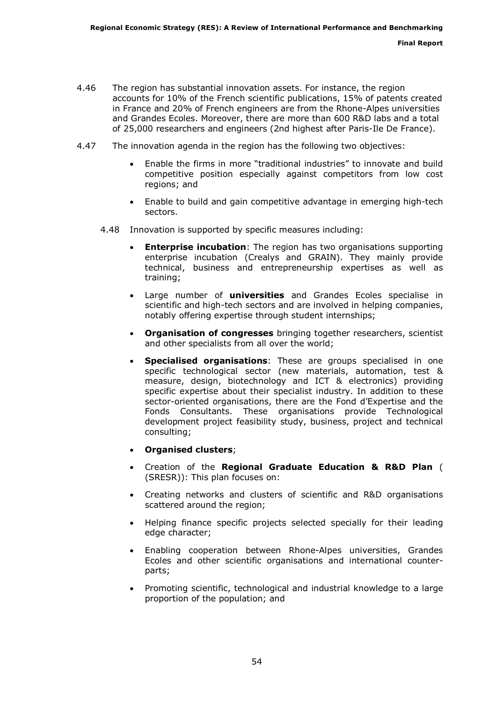- 4.46 The region has substantial innovation assets. For instance, the region accounts for 10% of the French scientific publications, 15% of patents created in France and 20% of French engineers are from the Rhone-Alpes universities and Grandes Ecoles. Moreover, there are more than 600 R&D labs and a total of 25,000 researchers and engineers (2nd highest after Paris-Ile De France).
- 4.47 The innovation agenda in the region has the following two objectives:
	- Enable the firms in more "traditional industries" to innovate and build competitive position especially against competitors from low cost regions; and
	- Enable to build and gain competitive advantage in emerging high-tech sectors.
	- 4.48 Innovation is supported by specific measures including:
		- Enterprise incubation: The region has two organisations supporting enterprise incubation (Crealys and GRAIN). They mainly provide technical, business and entrepreneurship expertises as well as training;
		- Large number of **universities** and Grandes Ecoles specialise in scientific and high-tech sectors and are involved in helping companies, notably offering expertise through student internships;
		- Organisation of congresses bringing together researchers, scientist and other specialists from all over the world;
		- Specialised organisations: These are groups specialised in one specific technological sector (new materials, automation, test & measure, design, biotechnology and ICT & electronics) providing specific expertise about their specialist industry. In addition to these sector-oriented organisations, there are the Fond d'Expertise and the Fonds Consultants. These organisations provide Technological development project feasibility study, business, project and technical consulting;
		- Organised clusters;
		- Creation of the Regional Graduate Education & R&D Plan ( [\(SRESR\)\): This plan focuses on:](http://www.cr-rhone-alpes.fr/v2/content_files/SRESR.pdf)
		- Creating networks and clusters of scientific and R&D organisations scattered around the region;
		- Helping finance specific projects selected specially for their leading edge character;
		- Enabling cooperation between Rhone-Alpes universities, Grandes Ecoles and other scientific organisations and international counterparts;
		- Promoting scientific, technological and industrial knowledge to a large proportion of the population; and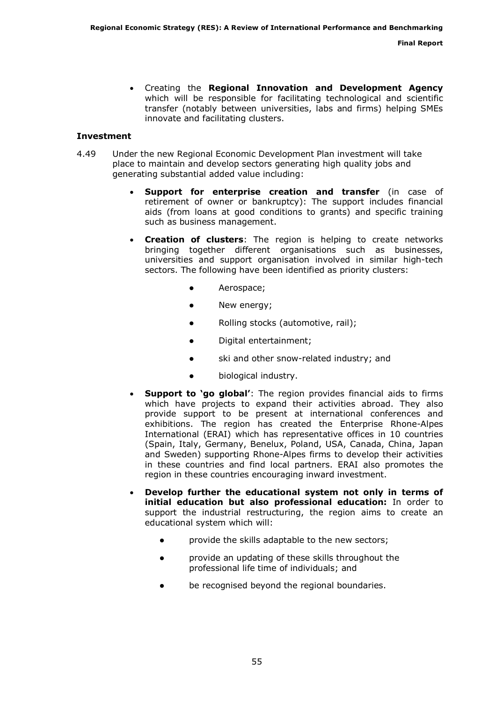• Creating the Regional Innovation and Development Agency which will be responsible for facilitating technological and scientific transfer (notably between universities, labs and firms) helping SMEs innovate and facilitating clusters.

#### Investment

- 4.49 Under the new Regional Economic Development Plan investment will take place to maintain and develop sectors generating high quality jobs and generating substantial added value including:
	- Support for enterprise creation and transfer (in case of retirement of owner or bankruptcy): The support includes financial aids (from loans at good conditions to grants) and specific training such as business management.
	- Creation of clusters: The region is helping to create networks bringing together different organisations such as businesses, universities and support organisation involved in similar high-tech sectors. The following have been identified as priority clusters:
		- Aerospace;
		- New energy;
		- Rolling stocks (automotive, rail);
		- Digital entertainment;
		- ski and other snow-related industry; and
		- biological industry.
	- **Support to 'go global':** The region provides financial aids to firms which have projects to expand their activities abroad. They also provide support to be present at international conferences and exhibitions. The region has created the Enterprise Rhone-Alpes International (ERAI) which has representative offices in 10 countries (Spain, Italy, Germany, Benelux, Poland, USA, Canada, China, Japan and Sweden) supporting Rhone-Alpes firms to develop their activities in these countries and find local partners. ERAI also promotes the region in these countries encouraging inward investment.
	- Develop further the educational system not only in terms of initial education but also professional education: In order to support the industrial restructuring, the region aims to create an educational system which will:
		- provide the skills adaptable to the new sectors;
		- provide an updating of these skills throughout the professional life time of individuals; and
		- be recognised beyond the regional boundaries.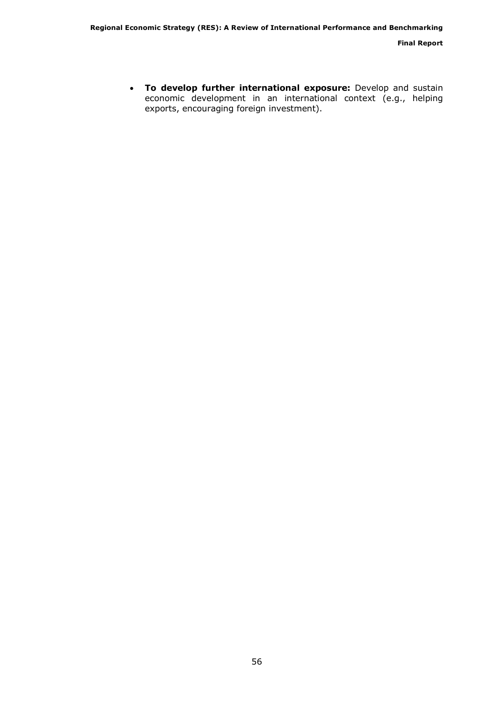• To develop further international exposure: Develop and sustain economic development in an international context (e.g., helping exports, encouraging foreign investment).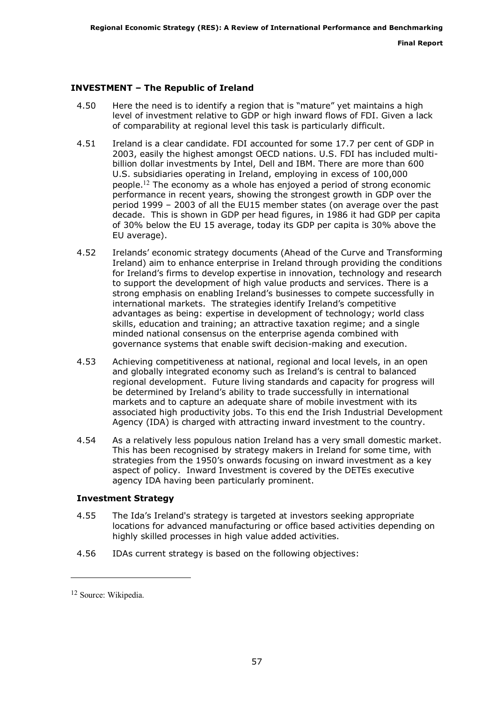## INVESTMENT – The Republic of Ireland

- 4.50 Here the need is to identify a region that is "mature" yet maintains a high level of investment relative to GDP or high inward flows of FDI. Given a lack of comparability at regional level this task is particularly difficult.
- 4.51 Ireland is a clear candidate. FDI accounted for some 17.7 per cent of GDP in 2003, easily the highest amongst OECD nations. U.S. FDI has included multibillion dollar investments by Intel, Dell and IBM. There are more than 600 U.S. subsidiaries operating in Ireland, employing in excess of 100,000 people.<sup>12</sup> The economy as a whole has enjoyed a period of strong economic performance in recent years, showing the strongest growth in GDP over the period 1999 – 2003 of all the EU15 member states (on average over the past decade. This is shown in GDP per head figures, in 1986 it had GDP per capita of 30% below the EU 15 average, today its GDP per capita is 30% above the EU average).
- 4.52 Irelands' economic strategy documents (Ahead of the Curve and Transforming Ireland) aim to enhance enterprise in Ireland through providing the conditions for Ireland's firms to develop expertise in innovation, technology and research to support the development of high value products and services. There is a strong emphasis on enabling Ireland's businesses to compete successfully in international markets. The strategies identify Ireland's competitive advantages as being: expertise in development of technology; world class skills, education and training; an attractive taxation regime; and a single minded national consensus on the enterprise agenda combined with governance systems that enable swift decision-making and execution.
- 4.53 Achieving competitiveness at national, regional and local levels, in an open and globally integrated economy such as Ireland's is central to balanced regional development. Future living standards and capacity for progress will be determined by Ireland's ability to trade successfully in international markets and to capture an adequate share of mobile investment with its associated high productivity jobs. To this end the Irish Industrial Development Agency (IDA) is charged with attracting inward investment to the country.
- 4.54 As a relatively less populous nation Ireland has a very small domestic market. This has been recognised by strategy makers in Ireland for some time, with strategies from the 1950's onwards focusing on inward investment as a key aspect of policy. Inward Investment is covered by the DETEs executive agency IDA having been particularly prominent.

## Investment Strategy

- 4.55 The Ida's Ireland's strategy is targeted at investors seeking appropriate locations for advanced manufacturing or office based activities depending on highly skilled processes in high value added activities.
- 4.56 IDAs current strategy is based on the following objectives:

ł

<sup>12</sup> Source: Wikipedia.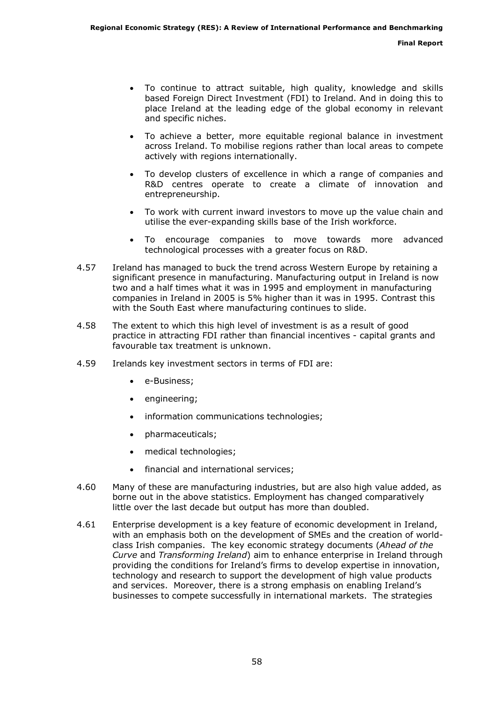- To continue to attract suitable, high quality, knowledge and skills based Foreign Direct Investment (FDI) to Ireland. And in doing this to place Ireland at the leading edge of the global economy in relevant and specific niches.
- To achieve a better, more equitable regional balance in investment across Ireland. To mobilise regions rather than local areas to compete actively with regions internationally.
- To develop clusters of excellence in which a range of companies and R&D centres operate to create a climate of innovation and entrepreneurship.
- To work with current inward investors to move up the value chain and utilise the ever-expanding skills base of the Irish workforce.
- To encourage companies to move towards more advanced technological processes with a greater focus on R&D.
- 4.57 Ireland has managed to buck the trend across Western Europe by retaining a significant presence in manufacturing. Manufacturing output in Ireland is now two and a half times what it was in 1995 and employment in manufacturing companies in Ireland in 2005 is 5% higher than it was in 1995. Contrast this with the South East where manufacturing continues to slide.
- 4.58 The extent to which this high level of investment is as a result of good practice in attracting FDI rather than financial incentives - capital grants and favourable tax treatment is unknown.
- 4.59 Irelands key investment sectors in terms of FDI are:
	- e-Business;
	- engineering;
	- information communications technologies;
	- pharmaceuticals;
	- medical technologies;
	- financial and international services;
- 4.60 Many of these are manufacturing industries, but are also high value added, as borne out in the above statistics. Employment has changed comparatively little over the last decade but output has more than doubled.
- 4.61 Enterprise development is a key feature of economic development in Ireland, with an emphasis both on the development of SMEs and the creation of worldclass Irish companies. The key economic strategy documents (Ahead of the Curve and Transforming Ireland) aim to enhance enterprise in Ireland through providing the conditions for Ireland's firms to develop expertise in innovation, technology and research to support the development of high value products and services. Moreover, there is a strong emphasis on enabling Ireland's businesses to compete successfully in international markets. The strategies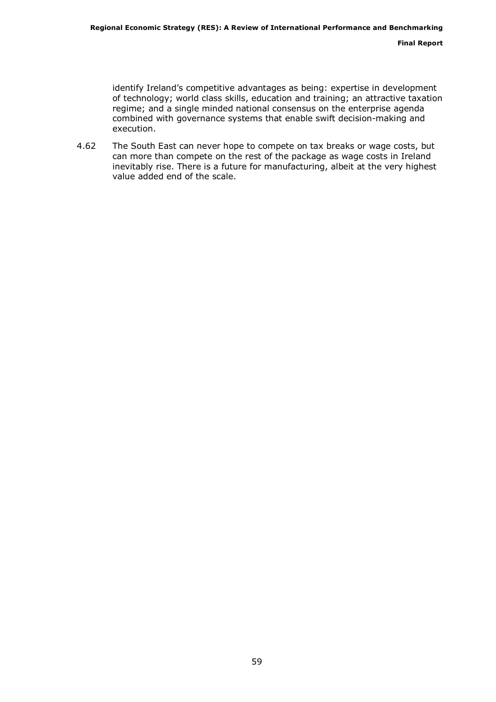identify Ireland's competitive advantages as being: expertise in development of technology; world class skills, education and training; an attractive taxation regime; and a single minded national consensus on the enterprise agenda combined with governance systems that enable swift decision-making and execution.

4.62 The South East can never hope to compete on tax breaks or wage costs, but can more than compete on the rest of the package as wage costs in Ireland inevitably rise. There is a future for manufacturing, albeit at the very highest value added end of the scale.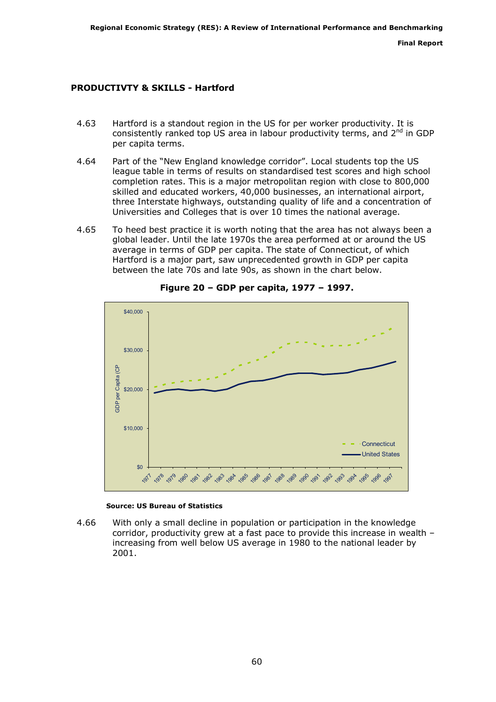## PRODUCTIVTY & SKILLS - Hartford

- 4.63 Hartford is a standout region in the US for per worker productivity. It is consistently ranked top US area in labour productivity terms, and  $2^{nd}$  in GDP per capita terms.
- 4.64 Part of the "New England knowledge corridor". Local students top the US league table in terms of results on standardised test scores and high school completion rates. This is a major metropolitan region with close to 800,000 skilled and educated workers, 40,000 businesses, an international airport, three Interstate highways, outstanding quality of life and a concentration of Universities and Colleges that is over 10 times the national average.
- 4.65 To heed best practice it is worth noting that the area has not always been a global leader. Until the late 1970s the area performed at or around the US average in terms of GDP per capita. The state of Connecticut, of which Hartford is a major part, saw unprecedented growth in GDP per capita between the late 70s and late 90s, as shown in the chart below.



Figure 20 – GDP per capita, 1977 – 1997.

#### Source: US Bureau of Statistics

4.66 With only a small decline in population or participation in the knowledge corridor, productivity grew at a fast pace to provide this increase in wealth – increasing from well below US average in 1980 to the national leader by 2001.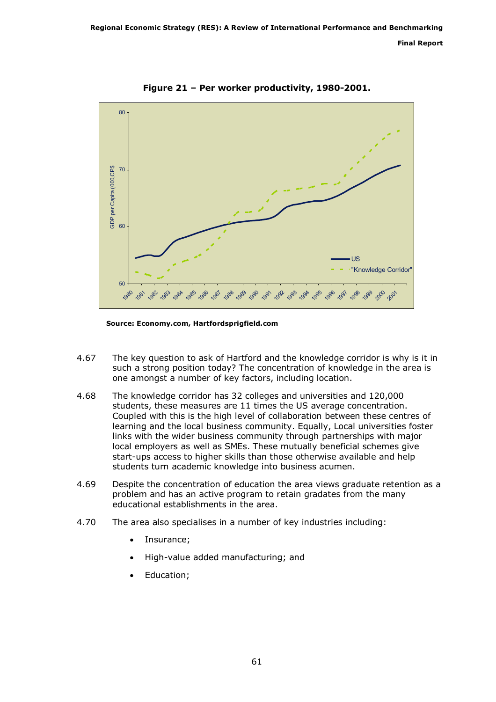Final Report



Figure 21 – Per worker productivity, 1980-2001.

Source: Economy.com, Hartfordsprigfield.com

- 4.67 The key question to ask of Hartford and the knowledge corridor is why is it in such a strong position today? The concentration of knowledge in the area is one amongst a number of key factors, including location.
- 4.68 The knowledge corridor has 32 colleges and universities and 120,000 students, these measures are 11 times the US average concentration. Coupled with this is the high level of collaboration between these centres of learning and the local business community. Equally, Local universities foster links with the wider business community through partnerships with major local employers as well as SMEs. These mutually beneficial schemes give start-ups access to higher skills than those otherwise available and help students turn academic knowledge into business acumen.
- 4.69 Despite the concentration of education the area views graduate retention as a problem and has an active program to retain gradates from the many educational establishments in the area.
- 4.70 The area also specialises in a number of key industries including:
	- Insurance:
	- High-value added manufacturing; and
	- Education;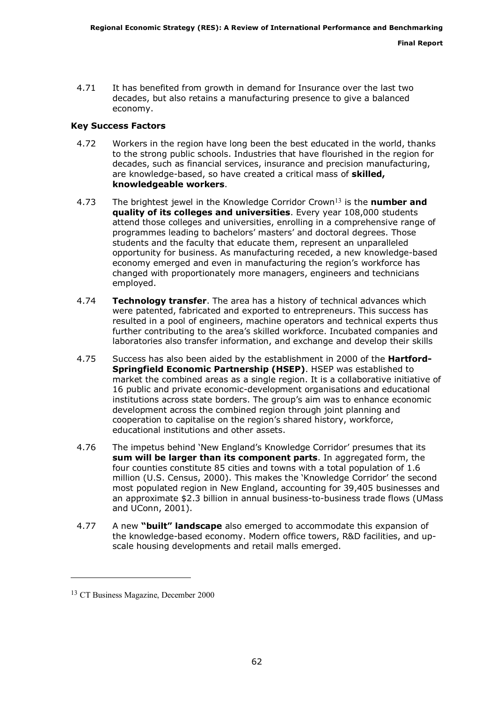4.71 It has benefited from growth in demand for Insurance over the last two decades, but also retains a manufacturing presence to give a balanced economy.

#### Key Success Factors

- 4.72 Workers in the region have long been the best educated in the world, thanks to the strong public schools. Industries that have flourished in the region for decades, such as financial services, insurance and precision manufacturing, are knowledge-based, so have created a critical mass of skilled, knowledgeable workers.
- 4.73 The brightest jewel in the Knowledge Corridor Crown<sup>13</sup> is the **number and** quality of its colleges and universities. Every year 108,000 students attend those colleges and universities, enrolling in a comprehensive range of programmes leading to bachelors' masters' and doctoral degrees. Those students and the faculty that educate them, represent an unparalleled opportunity for business. As manufacturing receded, a new knowledge-based economy emerged and even in manufacturing the region's workforce has changed with proportionately more managers, engineers and technicians employed.
- 4.74 Technology transfer. The area has a history of technical advances which were patented, fabricated and exported to entrepreneurs. This success has resulted in a pool of engineers, machine operators and technical experts thus further contributing to the area's skilled workforce. Incubated companies and laboratories also transfer information, and exchange and develop their skills
- 4.75 Success has also been aided by the establishment in 2000 of the **Hartford-**Springfield Economic Partnership (HSEP). HSEP was established to market the combined areas as a single region. It is a collaborative initiative of 16 public and private economic-development organisations and educational institutions across state borders. The group's aim was to enhance economic development across the combined region through joint planning and cooperation to capitalise on the region's shared history, workforce, educational institutions and other assets.
- 4.76 The impetus behind 'New England's Knowledge Corridor' presumes that its sum will be larger than its component parts. In aggregated form, the four counties constitute 85 cities and towns with a total population of 1.6 million (U.S. Census, 2000). This makes the 'Knowledge Corridor' the second most populated region in New England, accounting for 39,405 businesses and an approximate \$2.3 billion in annual business-to-business trade flows (UMass and UConn, 2001).
- 4.77 A new "built" landscape also emerged to accommodate this expansion of the knowledge-based economy. Modern office towers, R&D facilities, and upscale housing developments and retail malls emerged.

ł

<sup>13</sup> CT Business Magazine, December 2000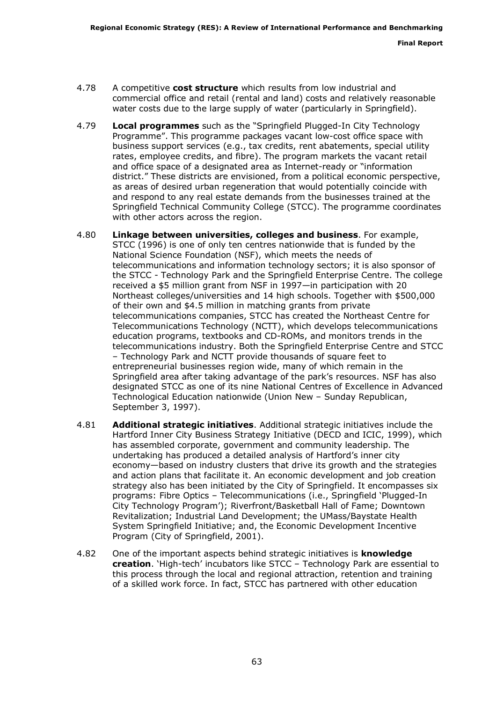- 4.78 A competitive cost structure which results from low industrial and commercial office and retail (rental and land) costs and relatively reasonable water costs due to the large supply of water (particularly in Springfield).
- 4.79 Local programmes such as the "Springfield Plugged-In City Technology Programme". This programme packages vacant low-cost office space with business support services (e.g., tax credits, rent abatements, special utility rates, employee credits, and fibre). The program markets the vacant retail and office space of a designated area as Internet-ready or "information district." These districts are envisioned, from a political economic perspective, as areas of desired urban regeneration that would potentially coincide with and respond to any real estate demands from the businesses trained at the Springfield Technical Community College (STCC). The programme coordinates with other actors across the region.
- 4.80 Linkage between universities, colleges and business. For example, STCC (1996) is one of only ten centres nationwide that is funded by the National Science Foundation (NSF), which meets the needs of telecommunications and information technology sectors; it is also sponsor of the STCC - Technology Park and the Springfield Enterprise Centre. The college received a \$5 million grant from NSF in 1997—in participation with 20 Northeast colleges/universities and 14 high schools. Together with \$500,000 of their own and \$4.5 million in matching grants from private telecommunications companies, STCC has created the Northeast Centre for Telecommunications Technology (NCTT), which develops telecommunications education programs, textbooks and CD-ROMs, and monitors trends in the telecommunications industry. Both the Springfield Enterprise Centre and STCC – Technology Park and NCTT provide thousands of square feet to entrepreneurial businesses region wide, many of which remain in the Springfield area after taking advantage of the park's resources. NSF has also designated STCC as one of its nine National Centres of Excellence in Advanced Technological Education nationwide (Union New – Sunday Republican, September 3, 1997).
- 4.81 Additional strategic initiatives. Additional strategic initiatives include the Hartford Inner City Business Strategy Initiative (DECD and ICIC, 1999), which has assembled corporate, government and community leadership. The undertaking has produced a detailed analysis of Hartford's inner city economy—based on industry clusters that drive its growth and the strategies and action plans that facilitate it. An economic development and job creation strategy also has been initiated by the City of Springfield. It encompasses six programs: Fibre Optics – Telecommunications (i.e., Springfield 'Plugged-In City Technology Program'); Riverfront/Basketball Hall of Fame; Downtown Revitalization; Industrial Land Development; the UMass/Baystate Health System Springfield Initiative; and, the Economic Development Incentive Program (City of Springfield, 2001).
- 4.82 One of the important aspects behind strategic initiatives is **knowledge** creation. 'High-tech' incubators like STCC – Technology Park are essential to this process through the local and regional attraction, retention and training of a skilled work force. In fact, STCC has partnered with other education